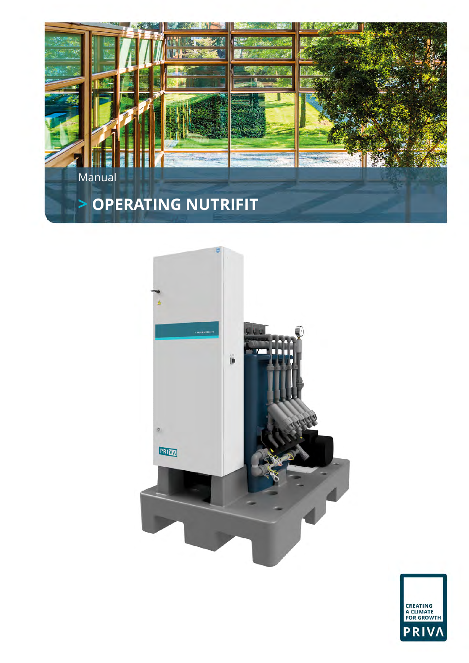



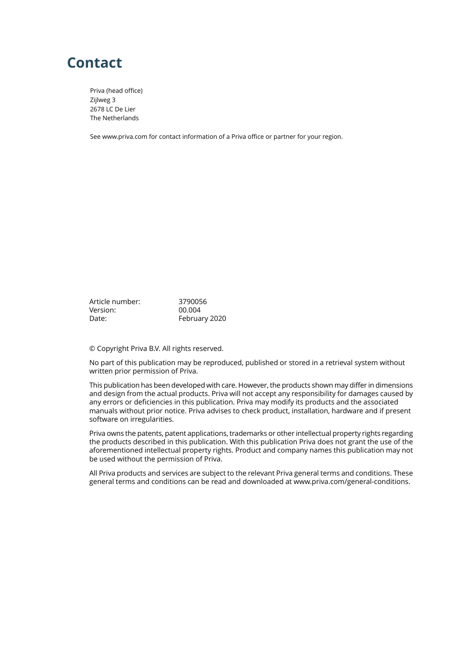# **Contact**

Priva (head office) Zijlweg 3 2678 LC De Lier The Netherlands

See www.priva.com for contact information of a Priva office or partner for your region.

Article number: 3790056<br>Version: 00.004 Version: Date: February 2020

© Copyright Priva B.V. All rights reserved.

No part of this publication may be reproduced, published or stored in a retrieval system without written prior permission of Priva.

This publication has been developed with care. However, the products shown may differ in dimensions and design from the actual products. Priva will not accept any responsibility for damages caused by any errors or deficiencies in this publication. Priva may modify its products and the associated manuals without prior notice. Priva advises to check product, installation, hardware and if present software on irregularities.

Priva owns the patents, patent applications, trademarks or other intellectual property rights regarding the products described in this publication. With this publication Priva does not grant the use of the aforementioned intellectual property rights. Product and company names this publication may not be used without the permission of Priva.

All Priva products and services are subject to the relevant Priva general terms and conditions. These general terms and conditions can be read and downloaded at www.priva.com/general-conditions.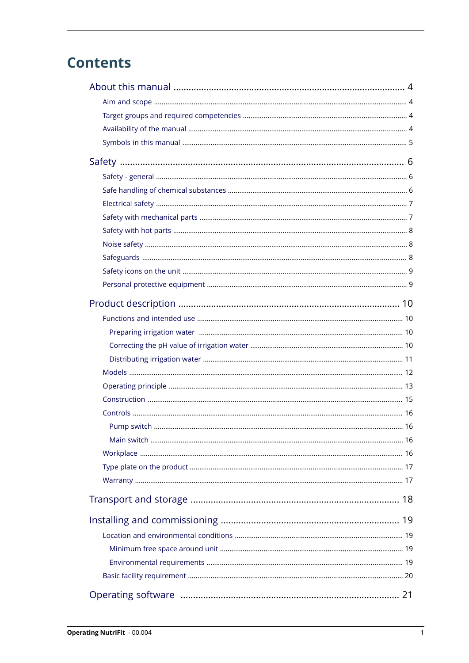# **Contents**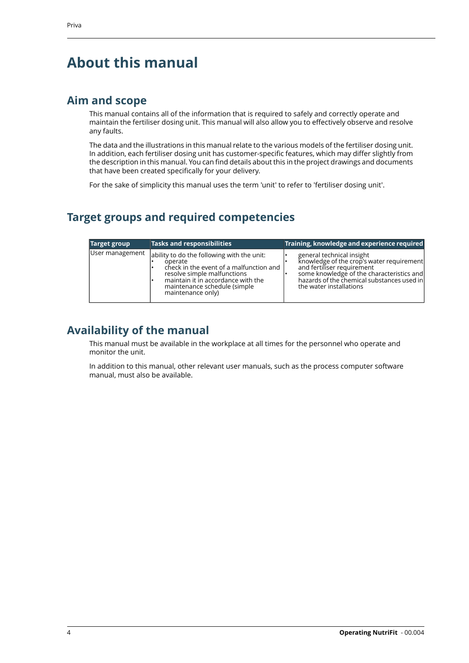# <span id="page-5-0"></span>**About this manual**

### <span id="page-5-1"></span>**Aim and scope**

This manual contains all of the information that is required to safely and correctly operate and maintain the fertiliser dosing unit. This manual will also allow you to effectively observe and resolve any faults.

The data and the illustrations in this manual relate to the various models of the fertiliser dosing unit. In addition, each fertiliser dosing unit has customer-specific features, which may differ slightly from the description in this manual. You can find details about this in the project drawings and documents that have been created specifically for your delivery.

For the sake of simplicity this manual uses the term 'unit' to refer to 'fertiliser dosing unit'.

## <span id="page-5-2"></span>**Target groups and required competencies**

| Target group    | Tasks and responsibilities                                                                                                                                                                                                  | Training, knowledge and experience required                                                                                                                                                                                |
|-----------------|-----------------------------------------------------------------------------------------------------------------------------------------------------------------------------------------------------------------------------|----------------------------------------------------------------------------------------------------------------------------------------------------------------------------------------------------------------------------|
| User management | ability to do the following with the unit:<br>operate<br>check in the event of a malfunction and<br>resolve simple malfunctions<br>maintain it in accordance with the<br>maintenance schedule (simple)<br>maintenance only) | general technical insight<br>knowledge of the crop's water requirement<br>and fertiliser requirement<br>some knowledge of the characteristics and<br>hazards of the chemical substances used in<br>the water installations |

### <span id="page-5-3"></span>**Availability of the manual**

This manual must be available in the workplace at all times for the personnel who operate and monitor the unit.

In addition to this manual, other relevant user manuals, such as the process computer software manual, must also be available.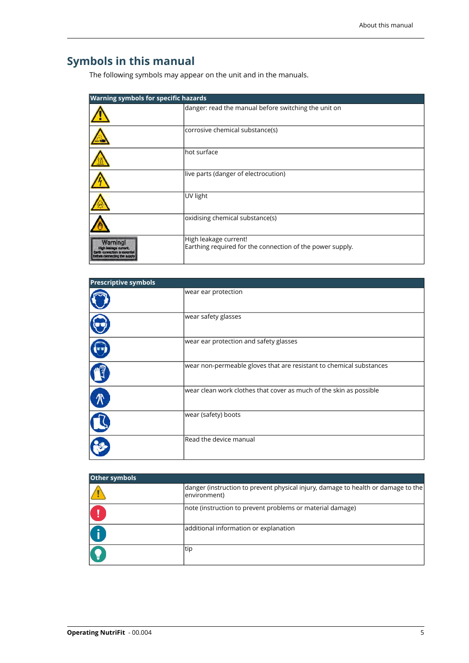# <span id="page-6-0"></span>**Symbols in this manual**

The following symbols may appear on the unit and in the manuals.

| <b>Warning symbols for specific hazards</b> |                                                                                    |  |  |
|---------------------------------------------|------------------------------------------------------------------------------------|--|--|
|                                             | danger: read the manual before switching the unit on                               |  |  |
|                                             | corrosive chemical substance(s)                                                    |  |  |
|                                             | hot surface                                                                        |  |  |
|                                             | live parts (danger of electrocution)                                               |  |  |
|                                             | UV light                                                                           |  |  |
|                                             | oxidising chemical substance(s)                                                    |  |  |
|                                             | High leakage current!<br>Earthing required for the connection of the power supply. |  |  |

| <b>Prescriptive symbols</b> |                                                                     |  |
|-----------------------------|---------------------------------------------------------------------|--|
|                             | wear ear protection                                                 |  |
|                             | wear safety glasses                                                 |  |
|                             | wear ear protection and safety glasses                              |  |
|                             | wear non-permeable gloves that are resistant to chemical substances |  |
|                             | wear clean work clothes that cover as much of the skin as possible  |  |
|                             | wear (safety) boots                                                 |  |
|                             | Read the device manual                                              |  |

| Other symbols |                                                                                                   |  |  |
|---------------|---------------------------------------------------------------------------------------------------|--|--|
|               | danger (instruction to prevent physical injury, damage to health or damage to the<br>environment) |  |  |
|               | Inote (instruction to prevent problems or material damage)                                        |  |  |
|               | additional information or explanation                                                             |  |  |
| Q             | tip                                                                                               |  |  |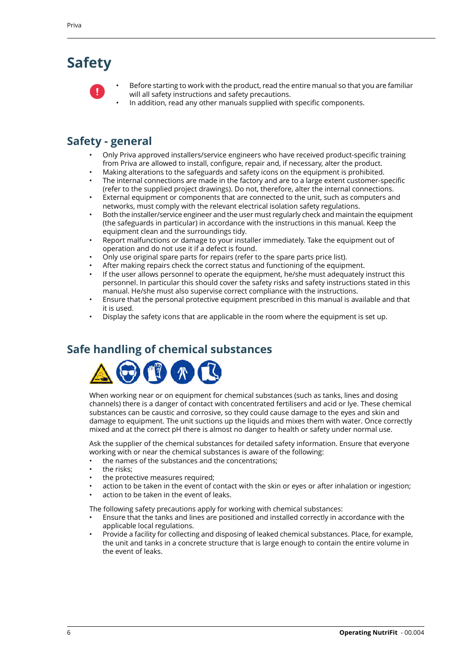# <span id="page-7-0"></span>**Safety**



- Before starting to work with the product, read the entire manual so that you are familiar will all safety instructions and safety precautions.
- In addition, read any other manuals supplied with specific components.

## <span id="page-7-1"></span>**Safety - general**

- Only Priva approved installers/service engineers who have received product-specific training from Priva are allowed to install, configure, repair and, if necessary, alter the product.
- Making alterations to the safeguards and safety icons on the equipment is prohibited.
- The internal connections are made in the factory and are to a large extent customer-specific (refer to the supplied project drawings). Do not, therefore, alter the internal connections.
- External equipment or components that are connected to the unit, such as computers and networks, must comply with the relevant electrical isolation safety regulations.
- Both the installer/service engineer and the user must regularly check and maintain the equipment (the safeguards in particular) in accordance with the instructions in this manual. Keep the equipment clean and the surroundings tidy.
- Report malfunctions or damage to your installer immediately. Take the equipment out of operation and do not use it if a defect is found.
- Only use original spare parts for repairs (refer to the spare parts price list).
- After making repairs check the correct status and functioning of the equipment.
- If the user allows personnel to operate the equipment, he/she must adequately instruct this personnel. In particular this should cover the safety risks and safety instructions stated in this manual. He/she must also supervise correct compliance with the instructions.
- Ensure that the personal protective equipment prescribed in this manual is available and that it is used.
- <span id="page-7-2"></span>• Display the safety icons that are applicable in the room where the equipment is set up.

### **Safe handling of chemical substances**



When working near or on equipment for chemical substances (such as tanks, lines and dosing channels) there is a danger of contact with concentrated fertilisers and acid or lye. These chemical substances can be caustic and corrosive, so they could cause damage to the eyes and skin and damage to equipment. The unit suctions up the liquids and mixes them with water. Once correctly mixed and at the correct pH there is almost no danger to health or safety under normal use.

Ask the supplier of the chemical substances for detailed safety information. Ensure that everyone working with or near the chemical substances is aware of the following:

- the names of the substances and the concentrations;
- the risks:
- the protective measures required;
- action to be taken in the event of contact with the skin or eyes or after inhalation or ingestion;
- action to be taken in the event of leaks.

The following safety precautions apply for working with chemical substances:

- Ensure that the tanks and lines are positioned and installed correctly in accordance with the applicable local regulations.
- Provide a facility for collecting and disposing of leaked chemical substances. Place, for example, the unit and tanks in a concrete structure that is large enough to contain the entire volume in the event of leaks.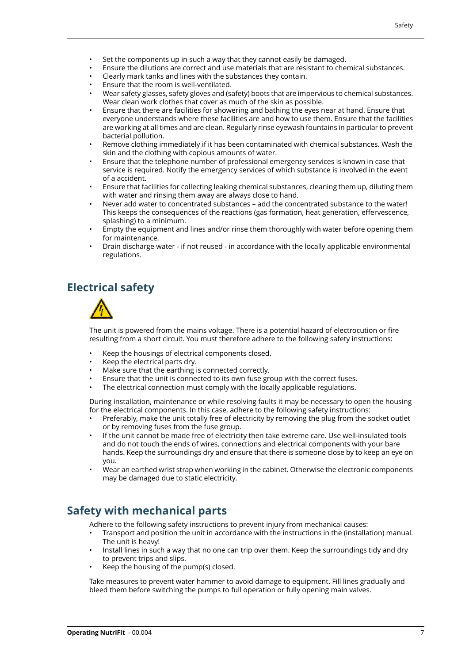- Set the components up in such a way that they cannot easily be damaged.
- Ensure the dilutions are correct and use materials that are resistant to chemical substances.
- Clearly mark tanks and lines with the substances they contain.
- Ensure that the room is well-ventilated.
- Wear safety glasses, safety gloves and (safety) boots that are impervious to chemical substances. Wear clean work clothes that cover as much of the skin as possible.
- Ensure that there are facilities for showering and bathing the eyes near at hand. Ensure that everyone understands where these facilities are and how to use them. Ensure that the facilities are working at all times and are clean. Regularly rinse eyewash fountains in particular to prevent bacterial pollution.
- Remove clothing immediately if it has been contaminated with chemical substances. Wash the skin and the clothing with copious amounts of water.
- Ensure that the telephone number of professional emergency services is known in case that service is required. Notify the emergency services of which substance is involved in the event of a accident.
- Ensure that facilities for collecting leaking chemical substances, cleaning them up, diluting them with water and rinsing them away are always close to hand.
- Never add water to concentrated substances add the concentrated substance to the water! This keeps the consequences of the reactions (gas formation, heat generation, effervescence, splashing) to a minimum.
- Empty the equipment and lines and/or rinse them thoroughly with water before opening them for maintenance.
- Drain discharge water if not reused in accordance with the locally applicable environmental regulations.

## <span id="page-8-0"></span>**Electrical safety**



The unit is powered from the mains voltage. There is a potential hazard of electrocution or fire resulting from a short circuit. You must therefore adhere to the following safety instructions:

- Keep the housings of electrical components closed.
- Keep the electrical parts dry.
- Make sure that the earthing is connected correctly.
- Ensure that the unit is connected to its own fuse group with the correct fuses.
- The electrical connection must comply with the locally applicable regulations.

During installation, maintenance or while resolving faults it may be necessary to open the housing for the electrical components. In this case, adhere to the following safety instructions:

- Preferably, make the unit totally free of electricity by removing the plug from the socket outlet or by removing fuses from the fuse group.
- If the unit cannot be made free of electricity then take extreme care. Use well-insulated tools and do not touch the ends of wires, connections and electrical components with your bare hands. Keep the surroundings dry and ensure that there is someone close by to keep an eye on you.
- <span id="page-8-1"></span>• Wear an earthed wrist strap when working in the cabinet. Otherwise the electronic components may be damaged due to static electricity.

### **Safety with mechanical parts**

Adhere to the following safety instructions to prevent injury from mechanical causes:

- Transport and position the unit in accordance with the instructions in the (installation) manual. The unit is heavy!
- Install lines in such a way that no one can trip over them. Keep the surroundings tidy and dry to prevent trips and slips.
- Keep the housing of the pump(s) closed.

Take measures to prevent water hammer to avoid damage to equipment. Fill lines gradually and bleed them before switching the pumps to full operation or fully opening main valves.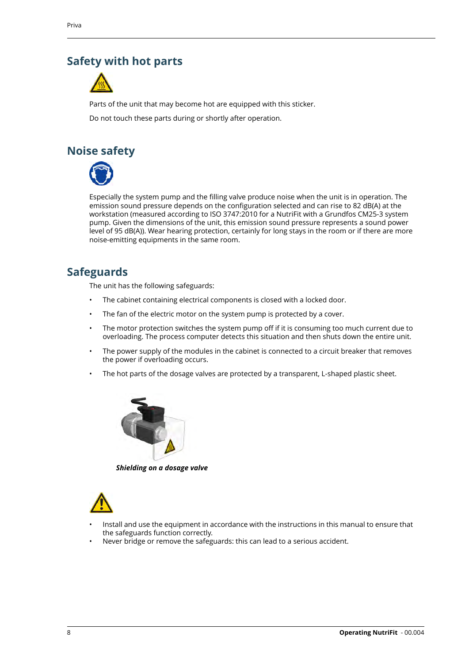### <span id="page-9-0"></span>**Safety with hot parts**



Parts of the unit that may become hot are equipped with this sticker.

Do not touch these parts during or shortly after operation.

## <span id="page-9-1"></span>**Noise safety**



Especially the system pump and the filling valve produce noise when the unit is in operation. The emission sound pressure depends on the configuration selected and can rise to 82 dB(A) at the workstation (measured according to ISO 3747:2010 for a NutriFit with a Grundfos CM25-3 system pump. Given the dimensions of the unit, this emission sound pressure represents a sound power level of 95 dB(A)). Wear hearing protection, certainly for long stays in the room or if there are more noise-emitting equipments in the same room.

## <span id="page-9-2"></span>**Safeguards**

The unit has the following safeguards:

- The cabinet containing electrical components is closed with a locked door.
- The fan of the electric motor on the system pump is protected by a cover.
- The motor protection switches the system pump off if it is consuming too much current due to overloading. The process computer detects this situation and then shuts down the entire unit.
- The power supply of the modules in the cabinet is connected to a circuit breaker that removes the power if overloading occurs.
- The hot parts of the dosage valves are protected by a transparent, L-shaped plastic sheet.



*Shielding on a dosage valve*



- Install and use the equipment in accordance with the instructions in this manual to ensure that the safeguards function correctly.
- Never bridge or remove the safeguards: this can lead to a serious accident.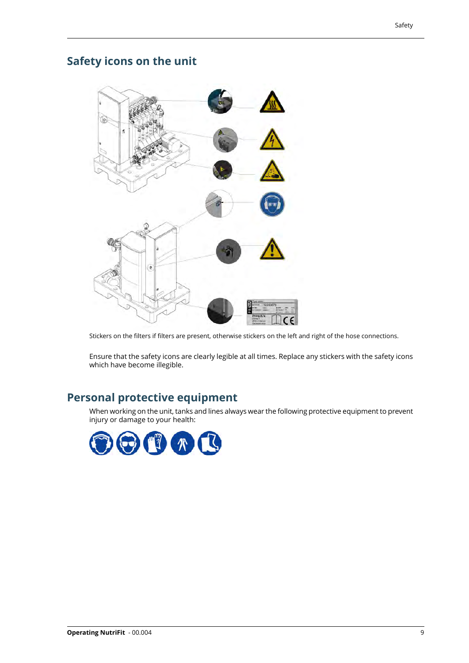## <span id="page-10-0"></span>**Safety icons on the unit**



Stickers on the filters if filters are present, otherwise stickers on the left and right of the hose connections.

<span id="page-10-1"></span>Ensure that the safety icons are clearly legible at all times. Replace any stickers with the safety icons which have become illegible.

### **Personal protective equipment**

When working on the unit, tanks and lines always wear the following protective equipment to prevent injury or damage to your health:

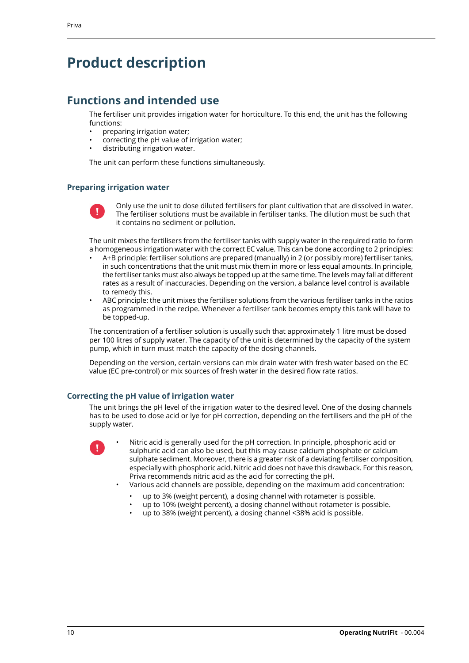## <span id="page-11-0"></span>**Product description**

### <span id="page-11-1"></span>**Functions and intended use**

The fertiliser unit provides irrigation water for horticulture. To this end, the unit has the following functions:

- preparing irrigation water;
- correcting the pH value of irrigation water;
- distributing irrigation water.

The unit can perform these functions simultaneously.

#### <span id="page-11-2"></span>**Preparing irrigation water**



Only use the unit to dose diluted fertilisers for plant cultivation that are dissolved in water. The fertiliser solutions must be available in fertiliser tanks. The dilution must be such that it contains no sediment or pollution.

The unit mixes the fertilisers from the fertiliser tanks with supply water in the required ratio to form a homogeneous irrigation water with the correct EC value. This can be done according to 2 principles:

- A+B principle: fertiliser solutions are prepared (manually) in 2 (or possibly more) fertiliser tanks, in such concentrations that the unit must mix them in more or less equal amounts. In principle, the fertiliser tanks must also always be topped up at the same time. The levels may fall at different rates as a result of inaccuracies. Depending on the version, a balance level control is available to remedy this.
- ABC principle: the unit mixes the fertiliser solutions from the various fertiliser tanks in the ratios as programmed in the recipe. Whenever a fertiliser tank becomes empty this tank will have to be topped-up.

The concentration of a fertiliser solution is usually such that approximately 1 litre must be dosed per 100 litres of supply water. The capacity of the unit is determined by the capacity of the system pump, which in turn must match the capacity of the dosing channels.

<span id="page-11-3"></span>Depending on the version, certain versions can mix drain water with fresh water based on the EC value (EC pre-control) or mix sources of fresh water in the desired flow rate ratios.

#### **Correcting the pH value of irrigation water**

The unit brings the pH level of the irrigation water to the desired level. One of the dosing channels has to be used to dose acid or lye for pH correction, depending on the fertilisers and the pH of the supply water.



• Nitric acid is generally used for the pH correction. In principle, phosphoric acid or sulphuric acid can also be used, but this may cause calcium phosphate or calcium sulphate sediment. Moreover, there is a greater risk of a deviating fertiliser composition, especially with phosphoric acid. Nitric acid does not have this drawback. For this reason, Priva recommends nitric acid as the acid for correcting the pH.

- Various acid channels are possible, depending on the maximum acid concentration:
	- up to 3% (weight percent), a dosing channel with rotameter is possible.
	- up to 10% (weight percent), a dosing channel without rotameter is possible.
	- up to 38% (weight percent), a dosing channel <38% acid is possible.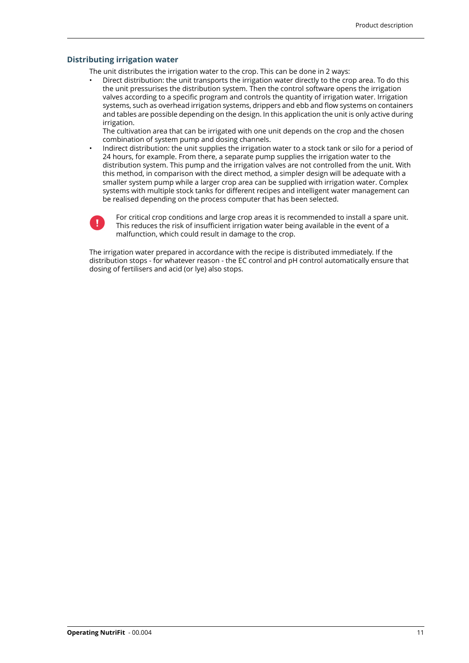#### <span id="page-12-0"></span>**Distributing irrigation water**

The unit distributes the irrigation water to the crop. This can be done in 2 ways:

• Direct distribution: the unit transports the irrigation water directly to the crop area. To do this the unit pressurises the distribution system. Then the control software opens the irrigation valves according to a specific program and controls the quantity of irrigation water. Irrigation systems, such as overhead irrigation systems, drippers and ebb and flow systems on containers and tables are possible depending on the design. In this application the unit is only active during irrigation.

The cultivation area that can be irrigated with one unit depends on the crop and the chosen combination of system pump and dosing channels.

• Indirect distribution: the unit supplies the irrigation water to a stock tank or silo for a period of 24 hours, for example. From there, a separate pump supplies the irrigation water to the distribution system. This pump and the irrigation valves are not controlled from the unit. With this method, in comparison with the direct method, a simpler design will be adequate with a smaller system pump while a larger crop area can be supplied with irrigation water. Complex systems with multiple stock tanks for different recipes and intelligent water management can be realised depending on the process computer that has been selected.



For critical crop conditions and large crop areas it is recommended to install a spare unit. This reduces the risk of insufficient irrigation water being available in the event of a malfunction, which could result in damage to the crop.

The irrigation water prepared in accordance with the recipe is distributed immediately. If the distribution stops - for whatever reason - the EC control and pH control automatically ensure that dosing of fertilisers and acid (or lye) also stops.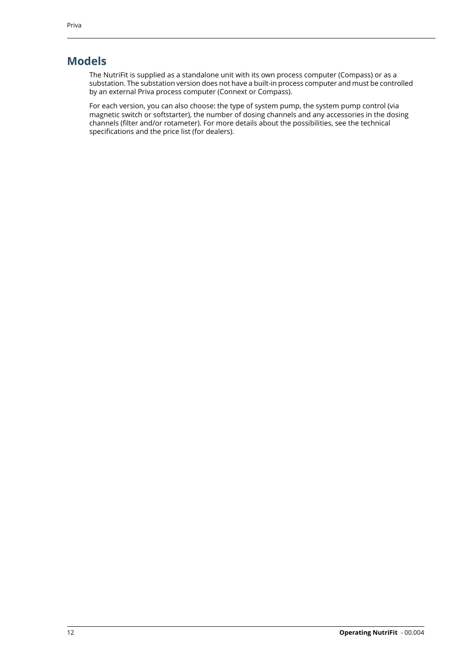### <span id="page-13-0"></span>**Models**

The NutriFit is supplied as a standalone unit with its own process computer (Compass) or as a substation. The substation version does not have a built-in process computer and must be controlled by an external Priva process computer (Connext or Compass).

For each version, you can also choose: the type of system pump, the system pump control (via magnetic switch or softstarter), the number of dosing channels and any accessories in the dosing channels (filter and/or rotameter). For more details about the possibilities, see the technical specifications and the price list (for dealers).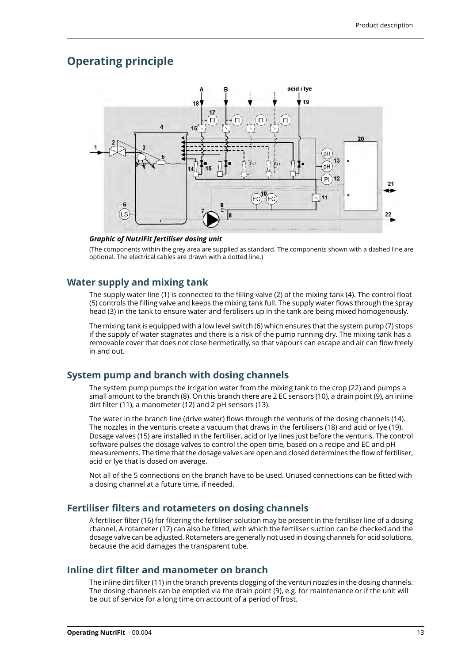### <span id="page-14-0"></span>**Operating principle**



#### *Graphic of NutriFit fertiliser dosing unit*

(The components within the grey area are supplied as standard. The components shown with a dashed line are optional. The electrical cables are drawn with a dotted line.)

#### **Water supply and mixing tank**

The supply water line (1) is connected to the filling valve (2) of the mixing tank (4). The control float (5) controls the filling valve and keeps the mixing tank full. The supply water flows through the spray head (3) in the tank to ensure water and fertilisers up in the tank are being mixed homogenously.

The mixing tank is equipped with a low level switch (6) which ensures that the system pump (7) stops if the supply of water stagnates and there is a risk of the pump running dry. The mixing tank has a removable cover that does not close hermetically, so that vapours can escape and air can flow freely in and out.

#### **System pump and branch with dosing channels**

The system pump pumps the irrigation water from the mixing tank to the crop (22) and pumps a small amount to the branch (8). On this branch there are 2 EC sensors (10), a drain point (9), an inline dirt filter (11), a manometer (12) and 2 pH sensors (13).

The water in the branch line (drive water) flows through the venturis of the dosing channels (14). The nozzles in the venturis create a vacuum that draws in the fertilisers (18) and acid or lye (19). Dosage valves (15) are installed in the fertiliser, acid or lye lines just before the venturis. The control software pulses the dosage valves to control the open time, based on a recipe and EC and pH measurements. The time that the dosage valves are open and closed determines the flow of fertiliser, acid or lye that is dosed on average.

Not all of the 5 connections on the branch have to be used. Unused connections can be fitted with a dosing channel at a future time, if needed.

#### **Fertiliser filters and rotameters on dosing channels**

A fertiliser filter (16) for filtering the fertiliser solution may be present in the fertiliser line of a dosing channel. A rotameter (17) can also be fitted, with which the fertiliser suction can be checked and the dosage valve can be adjusted. Rotameters are generally not used in dosing channels for acid solutions, because the acid damages the transparent tube.

#### **Inline dirt filter and manometer on branch**

The inline dirt filter (11) in the branch prevents clogging of the venturi nozzles in the dosing channels. The dosing channels can be emptied via the drain point (9), e.g. for maintenance or if the unit will be out of service for a long time on account of a period of frost.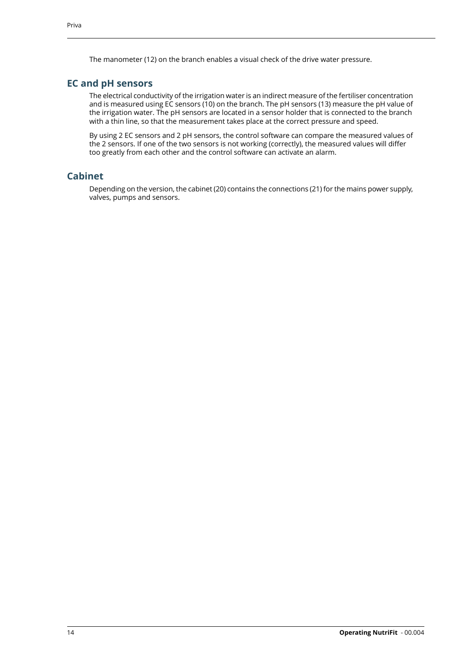The manometer (12) on the branch enables a visual check of the drive water pressure.

#### **EC and pH sensors**

The electrical conductivity of the irrigation water is an indirect measure of the fertiliser concentration and is measured using EC sensors (10) on the branch. The pH sensors (13) measure the pH value of the irrigation water. The pH sensors are located in a sensor holder that is connected to the branch with a thin line, so that the measurement takes place at the correct pressure and speed.

By using 2 EC sensors and 2 pH sensors, the control software can compare the measured values of the 2 sensors. If one of the two sensors is not working (correctly), the measured values will differ too greatly from each other and the control software can activate an alarm.

#### **Cabinet**

Depending on the version, the cabinet (20) contains the connections (21) for the mains power supply, valves, pumps and sensors.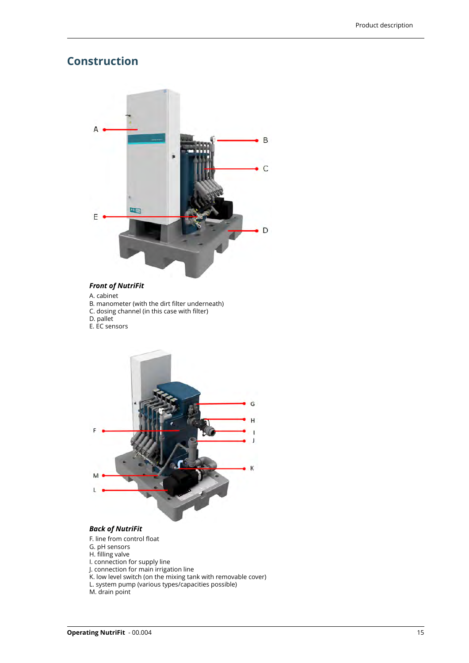### <span id="page-16-0"></span>**Construction**



#### *Front of NutriFit*

- A. cabinet
- B. manometer (with the dirt filter underneath)
- C. dosing channel (in this case with filter)
- D. pallet
- E. EC sensors



#### *Back of NutriFit*

- F. line from control float
- G. pH sensors
- H. filling valve
- I. connection for supply line
- J. connection for main irrigation line
- K. low level switch (on the mixing tank with removable cover) L. system pump (various types/capacities possible)
- M. drain point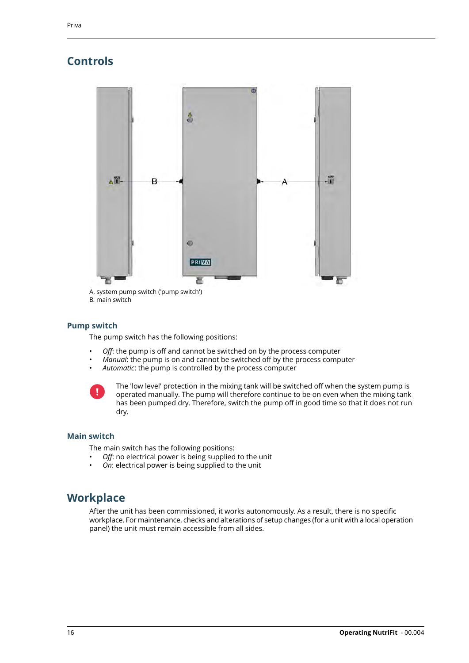## <span id="page-17-0"></span>**Controls**



<span id="page-17-1"></span>B. main switch

#### **Pump switch**

The pump switch has the following positions:

- *Off*: the pump is off and cannot be switched on by the process computer
- *Manual*: the pump is on and cannot be switched off by the process computer
- *Automatic*: the pump is controlled by the process computer

<span id="page-17-2"></span>

The 'low level' protection in the mixing tank will be switched off when the system pump is operated manually. The pump will therefore continue to be on even when the mixing tank has been pumped dry. Therefore, switch the pump off in good time so that it does not run dry.

#### <span id="page-17-3"></span>**Main switch**

The main switch has the following positions:

- *Off*: no electrical power is being supplied to the unit
- *On*: electrical power is being supplied to the unit

### **Workplace**

After the unit has been commissioned, it works autonomously. As a result, there is no specific workplace. For maintenance, checks and alterations of setup changes (for a unit with a local operation panel) the unit must remain accessible from all sides.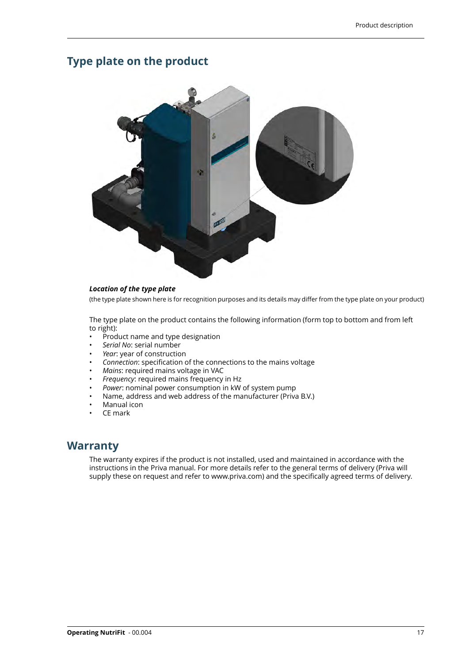### <span id="page-18-0"></span>**Type plate on the product**



#### *Location of the type plate*

(the type plate shown here is for recognition purposes and its details may differ from the type plate on your product)

The type plate on the product contains the following information (form top to bottom and from left to right):

- Product name and type designation
- *Serial No*: serial number
- Year: year of construction
- *Connection*: specification of the connections to the mains voltage
- *Mains*: required mains voltage in VAC
- *Frequency*: required mains frequency in Hz
- *Power*: nominal power consumption in kW of system pump
- <span id="page-18-1"></span>• Name, address and web address of the manufacturer (Priva B.V.)
- Manual icon
- CE mark

### **Warranty**

The warranty expires if the product is not installed, used and maintained in accordance with the instructions in the Priva manual. For more details refer to the general terms of delivery (Priva will supply these on request and refer to www.priva.com) and the specifically agreed terms of delivery.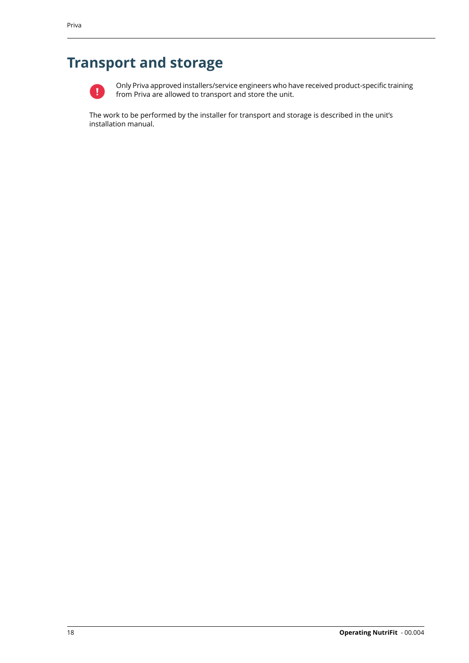# <span id="page-19-0"></span>**Transport and storage**



Only Priva approved installers/service engineers who have received product-specific training from Priva are allowed to transport and store the unit.

The work to be performed by the installer for transport and storage is described in the unit's installation manual.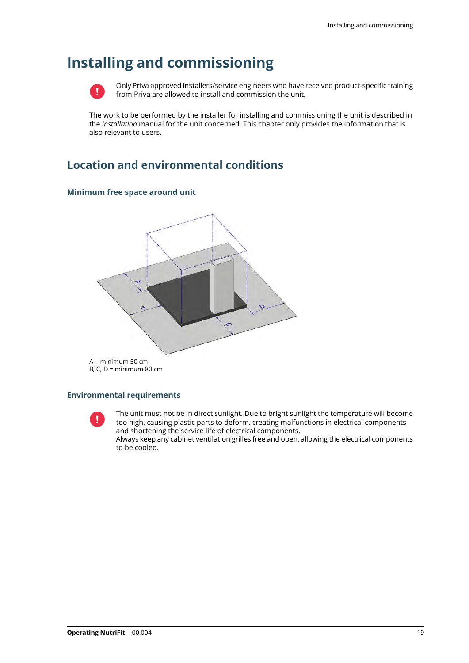# <span id="page-20-0"></span>**Installing and commissioning**



Only Priva approved installers/service engineers who have received product-specific training from Priva are allowed to install and commission the unit.

The work to be performed by the installer for installing and commissioning the unit is described in the *Installation* manual for the unit concerned. This chapter only provides the information that is also relevant to users.

### <span id="page-20-2"></span><span id="page-20-1"></span>**Location and environmental conditions**

#### **Minimum free space around unit**



#### <span id="page-20-3"></span>**Environmental requirements**



The unit must not be in direct sunlight. Due to bright sunlight the temperature will become too high, causing plastic parts to deform, creating malfunctions in electrical components and shortening the service life of electrical components.

Always keep any cabinet ventilation grilles free and open, allowing the electrical components to be cooled.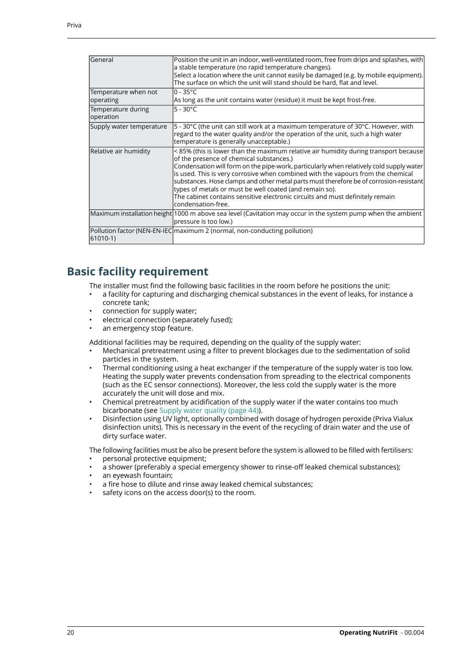| General                           | Position the unit in an indoor, well-ventilated room, free from drips and splashes, with<br>a stable temperature (no rapid temperature changes).<br>Select a location where the unit cannot easily be damaged (e.g. by mobile equipment).<br>The surface on which the unit will stand should be hard, flat and level.                                                                                                                                                                                                                                                      |
|-----------------------------------|----------------------------------------------------------------------------------------------------------------------------------------------------------------------------------------------------------------------------------------------------------------------------------------------------------------------------------------------------------------------------------------------------------------------------------------------------------------------------------------------------------------------------------------------------------------------------|
| Temperature when not<br>operating | $0 - 35^{\circ}C$<br>As long as the unit contains water (residue) it must be kept frost-free.                                                                                                                                                                                                                                                                                                                                                                                                                                                                              |
| Temperature during<br>operation   | $5 - 30^{\circ}$ C                                                                                                                                                                                                                                                                                                                                                                                                                                                                                                                                                         |
| Supply water temperature          | 5 - 30°C (the unit can still work at a maximum temperature of 30°C. However, with<br>regard to the water quality and/or the operation of the unit, such a high water<br>temperature is generally unacceptable.)                                                                                                                                                                                                                                                                                                                                                            |
| Relative air humidity             | <85% (this is lower than the maximum relative air humidity during transport because<br>of the presence of chemical substances.)<br>Condensation will form on the pipe-work, particularly when relatively cold supply water<br>is used. This is very corrosive when combined with the vapours from the chemical<br>substances. Hose clamps and other metal parts must therefore be of corrosion-resistant<br>types of metals or must be well coated (and remain so).<br>The cabinet contains sensitive electronic circuits and must definitely remain<br>condensation-free. |
|                                   | Maximum installation height 1000 m above sea level (Cavitation may occur in the system pump when the ambient<br>pressure is too low.)                                                                                                                                                                                                                                                                                                                                                                                                                                      |
| $ 61010-1\rangle$                 | Pollution factor (NEN-EN-IEC maximum 2 (normal, non-conducting pollution)                                                                                                                                                                                                                                                                                                                                                                                                                                                                                                  |

### <span id="page-21-0"></span>**Basic facility requirement**

The installer must find the following basic facilities in the room before he positions the unit:

- a facility for capturing and discharging chemical substances in the event of leaks, for instance a concrete tank;
- connection for supply water;
- electrical connection (separately fused);
- an emergency stop feature.

Additional facilities may be required, depending on the quality of the supply water:

- Mechanical pretreatment using a filter to prevent blockages due to the sedimentation of solid particles in the system.
- Thermal conditioning using a heat exchanger if the temperature of the supply water is too low. Heating the supply water prevents condensation from spreading to the electrical components (such as the EC sensor connections). Moreover, the less cold the supply water is the more accurately the unit will dose and mix.
- Chemical pretreatment by acidification of the supply water if the water contains too much bicarbonate (see [Supply water quality \(page 44\)](#page-45-0)).
- Disinfection using UV light, optionally combined with dosage of hydrogen peroxide (Priva Vialux disinfection units). This is necessary in the event of the recycling of drain water and the use of dirty surface water.

The following facilities must be also be present before the system is allowed to be filled with fertilisers:

- personal protective equipment;
- a shower (preferably a special emergency shower to rinse-off leaked chemical substances);
- an eyewash fountain;
- a fire hose to dilute and rinse away leaked chemical substances:
- safety icons on the access door(s) to the room.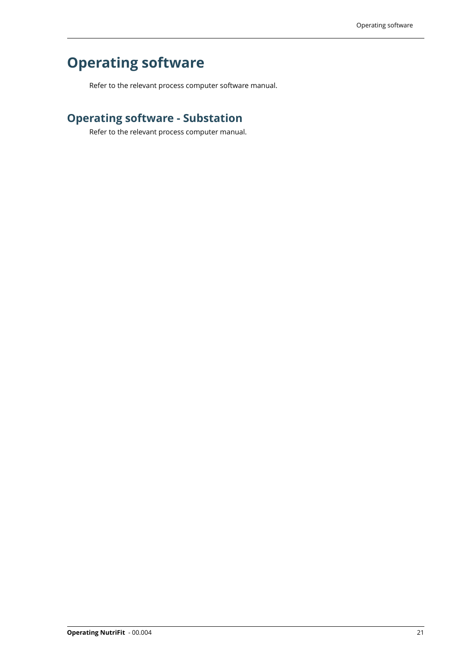# <span id="page-22-0"></span>**Operating software**

Refer to the relevant process computer software manual.

## <span id="page-22-1"></span>**Operating software - Substation**

Refer to the relevant process computer manual.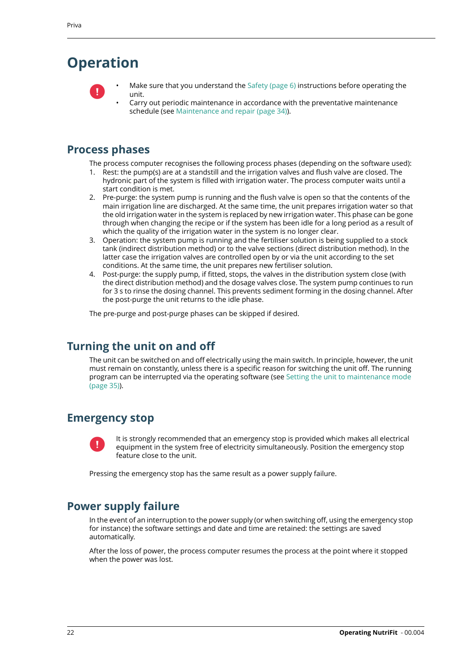# <span id="page-23-0"></span>**Operation**



Make sure that you understand the [Safety \(page 6\)](#page-7-0) instructions before operating the unit.

• Carry out periodic maintenance in accordance with the preventative maintenance schedule (see [Maintenance and repair \(page 34\)](#page-35-0)).

### <span id="page-23-1"></span>**Process phases**

The process computer recognises the following process phases (depending on the software used):

- 1. Rest: the pump(s) are at a standstill and the irrigation valves and flush valve are closed. The hydronic part of the system is filled with irrigation water. The process computer waits until a
- start condition is met. 2. Pre-purge: the system pump is running and the flush valve is open so that the contents of the
- main irrigation line are discharged. At the same time, the unit prepares irrigation water so that the old irrigation water in the system is replaced by new irrigation water. This phase can be gone through when changing the recipe or if the system has been idle for a long period as a result of which the quality of the irrigation water in the system is no longer clear.
- 3. Operation: the system pump is running and the fertiliser solution is being supplied to a stock tank (indirect distribution method) or to the valve sections (direct distribution method). In the latter case the irrigation valves are controlled open by or via the unit according to the set conditions. At the same time, the unit prepares new fertiliser solution.
- 4. Post-purge: the supply pump, if fitted, stops, the valves in the distribution system close (with the direct distribution method) and the dosage valves close. The system pump continues to run for 3 s to rinse the dosing channel. This prevents sediment forming in the dosing channel. After the post-purge the unit returns to the idle phase.

<span id="page-23-2"></span>The pre-purge and post-purge phases can be skipped if desired.

### <span id="page-23-3"></span>**Turning the unit on and off**

The unit can be switched on and off electrically using the main switch. In principle, however, the unit must remain on constantly, unless there is a specific reason for switching the unit off. The running program can be interrupted via the operating software (see [Setting the unit to maintenance mode](#page-36-0) [\(page 35\)\)](#page-36-0).

### **Emergency stop**

<span id="page-23-4"></span>

It is strongly recommended that an emergency stop is provided which makes all electrical equipment in the system free of electricity simultaneously. Position the emergency stop feature close to the unit.

Pressing the emergency stop has the same result as a power supply failure.

### **Power supply failure**

In the event of an interruption to the power supply (or when switching off, using the emergency stop for instance) the software settings and date and time are retained: the settings are saved automatically.

After the loss of power, the process computer resumes the process at the point where it stopped when the power was lost.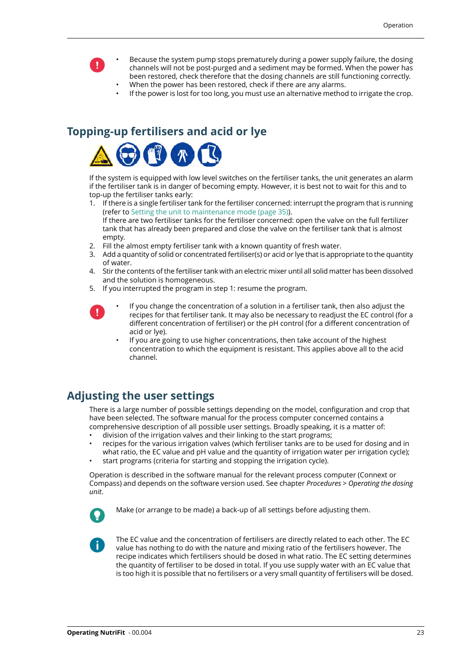- Because the system pump stops prematurely during a power supply failure, the dosing channels will not be post-purged and a sediment may be formed. When the power has been restored, check therefore that the dosing channels are still functioning correctly.
	- When the power has been restored, check if there are any alarms.
	- If the power is lost for too long, you must use an alternative method to irrigate the crop.

### <span id="page-24-0"></span>**Topping-up fertilisers and acid or lye**



 $\mathbf{I}$ 

If the system is equipped with low level switches on the fertiliser tanks, the unit generates an alarm if the fertiliser tank is in danger of becoming empty. However, it is best not to wait for this and to top-up the fertiliser tanks early:

- 1. If there is a single fertiliser tank for the fertiliser concerned: interrupt the program that is running (refer to [Setting the unit to maintenance mode \(page 35\)](#page-36-0)). If there are two fertiliser tanks for the fertiliser concerned: open the valve on the full fertilizer tank that has already been prepared and close the valve on the fertiliser tank that is almost empty.
- 2. Fill the almost empty fertiliser tank with a known quantity of fresh water.
- 3. Add a quantity of solid or concentrated fertiliser(s) or acid or lye that is appropriate to the quantity of water.
- 4. Stir the contents of the fertiliser tank with an electric mixer until all solid matter has been dissolved and the solution is homogeneous.
- 5. If you interrupted the program in step 1: resume the program.
	- If you change the concentration of a solution in a fertiliser tank, then also adjust the recipes for that fertiliser tank. It may also be necessary to readjust the EC control (for a different concentration of fertiliser) or the pH control (for a different concentration of acid or lye).
		- If you are going to use higher concentrations, then take account of the highest concentration to which the equipment is resistant. This applies above all to the acid channel.

### <span id="page-24-1"></span>**Adjusting the user settings**

There is a large number of possible settings depending on the model, configuration and crop that have been selected. The software manual for the process computer concerned contains a comprehensive description of all possible user settings. Broadly speaking, it is a matter of:

- division of the irrigation valves and their linking to the start programs;
- recipes for the various irrigation valves (which fertiliser tanks are to be used for dosing and in what ratio, the EC value and pH value and the quantity of irrigation water per irrigation cycle);
- start programs (criteria for starting and stopping the irrigation cycle).

Operation is described in the software manual for the relevant process computer (Connext or Compass) and depends on the software version used. See chapter *Procedures* > *Operating the dosing unit*.



V

Make (or arrange to be made) a back-up of all settings before adjusting them.

The EC value and the concentration of fertilisers are directly related to each other. The EC value has nothing to do with the nature and mixing ratio of the fertilisers however. The recipe indicates which fertilisers should be dosed in what ratio. The EC setting determines the quantity of fertiliser to be dosed in total. If you use supply water with an EC value that is too high it is possible that no fertilisers or a very small quantity of fertilisers will be dosed.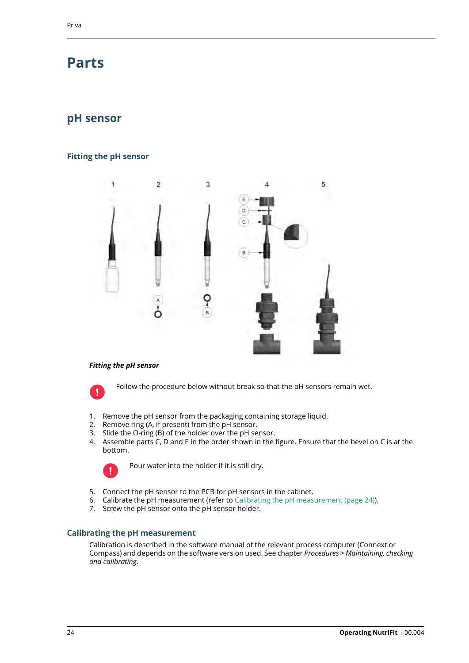# <span id="page-25-0"></span>**Parts**

### <span id="page-25-1"></span>**pH sensor**

#### <span id="page-25-2"></span>**Fitting the pH sensor**



#### *Fitting the pH sensor*



Follow the procedure below without break so that the pH sensors remain wet.

- 1. Remove the pH sensor from the packaging containing storage liquid.
- 2. Remove ring (A, if present) from the pH sensor.
- 3. Slide the O-ring (B) of the holder over the pH sensor.
- 4. Assemble parts C, D and E in the order shown in the figure. Ensure that the bevel on C is at the bottom.



Pour water into the holder if it is still dry.

- <span id="page-25-3"></span>5. Connect the pH sensor to the PCB for pH sensors in the cabinet.
- 6. Calibrate the pH measurement (refer to [Calibrating the pH measurement \(page 24\)\)](#page-25-3).
- 7. Screw the pH sensor onto the pH sensor holder.

#### **Calibrating the pH measurement**

Calibration is described in the software manual of the relevant process computer (Connext or Compass) and depends on the software version used. See chapter *Procedures* > *Maintaining, checking and calibrating*.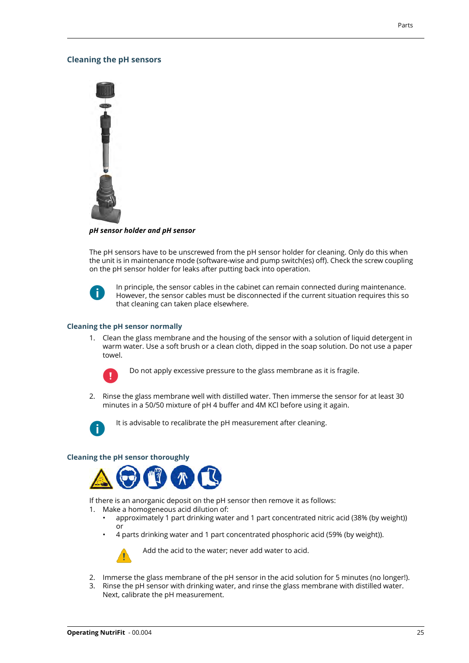#### <span id="page-26-0"></span>**Cleaning the pH sensors**



*pH sensor holder and pH sensor*

The pH sensors have to be unscrewed from the pH sensor holder for cleaning. Only do this when the unit is in maintenance mode (software-wise and pump switch(es) off). Check the screw coupling on the pH sensor holder for leaks after putting back into operation.



In principle, the sensor cables in the cabinet can remain connected during maintenance. However, the sensor cables must be disconnected if the current situation requires this so that cleaning can taken place elsewhere.

#### **Cleaning the pH sensor normally**

1. Clean the glass membrane and the housing of the sensor with a solution of liquid detergent in warm water. Use a soft brush or a clean cloth, dipped in the soap solution. Do not use a paper towel.



Do not apply excessive pressure to the glass membrane as it is fragile.

2. Rinse the glass membrane well with distilled water. Then immerse the sensor for at least 30 minutes in a 50/50 mixture of pH 4 buffer and 4M KCl before using it again.



It is advisable to recalibrate the pH measurement after cleaning.

#### **Cleaning the pH sensor thoroughly**



If there is an anorganic deposit on the pH sensor then remove it as follows:

- 1. Make a homogeneous acid dilution of:
	- approximately 1 part drinking water and 1 part concentrated nitric acid (38% (by weight)) or
	- 4 parts drinking water and 1 part concentrated phosphoric acid (59% (by weight)).



Add the acid to the water; never add water to acid.

- 2. Immerse the glass membrane of the pH sensor in the acid solution for 5 minutes (no longer!).
- 3. Rinse the pH sensor with drinking water, and rinse the glass membrane with distilled water. Next, calibrate the pH measurement.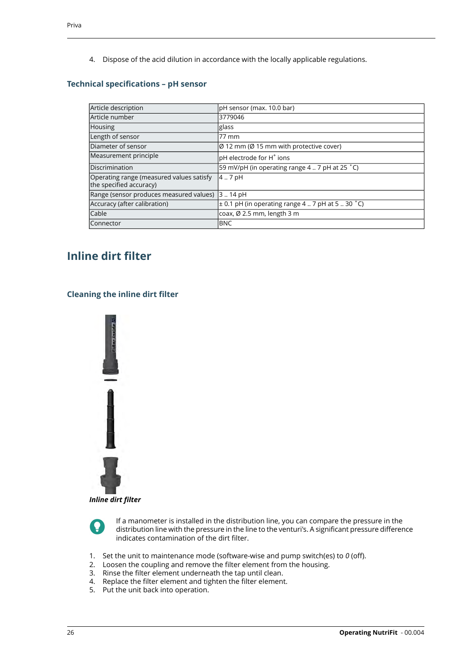4. Dispose of the acid dilution in accordance with the locally applicable regulations.

#### <span id="page-27-0"></span>**Technical specifications – pH sensor**

| Article description                                                 | pH sensor (max. 10.0 bar)                                        |
|---------------------------------------------------------------------|------------------------------------------------------------------|
| Article number                                                      | 3779046                                                          |
| Housing                                                             | glass                                                            |
| Length of sensor                                                    | .77 mm                                                           |
| Diameter of sensor                                                  | $\varnothing$ 12 mm ( $\varnothing$ 15 mm with protective cover) |
| Measurement principle                                               | pH electrode for H <sup>+</sup> ions                             |
| Discrimination                                                      | 59 mV/pH (in operating range 4  7 pH at 25 °C)                   |
| Operating range (measured values satisfy<br>the specified accuracy) | 4.7pH                                                            |
| Range (sensor produces measured values)                             | 314 pH                                                           |
| Accuracy (after calibration)                                        | $\pm$ 0.1 pH (in operating range 4  7 pH at 5  30 °C)            |
| Cable                                                               | coax, Ø 2.5 mm, length 3 m                                       |
| Connector                                                           | <b>BNC</b>                                                       |

### <span id="page-27-2"></span><span id="page-27-1"></span>**Inline dirt filter**

#### **Cleaning the inline dirt filter**



*Inline dirt filter*



If a manometer is installed in the distribution line, you can compare the pressure in the distribution line with the pressure in the line to the venturi's. A significant pressure difference indicates contamination of the dirt filter.

- 1. Set the unit to maintenance mode (software-wise and pump switch(es) to *0* (off).
- 2. Loosen the coupling and remove the filter element from the housing.
- 3. Rinse the filter element underneath the tap until clean.
- 4. Replace the filter element and tighten the filter element.
- 5. Put the unit back into operation.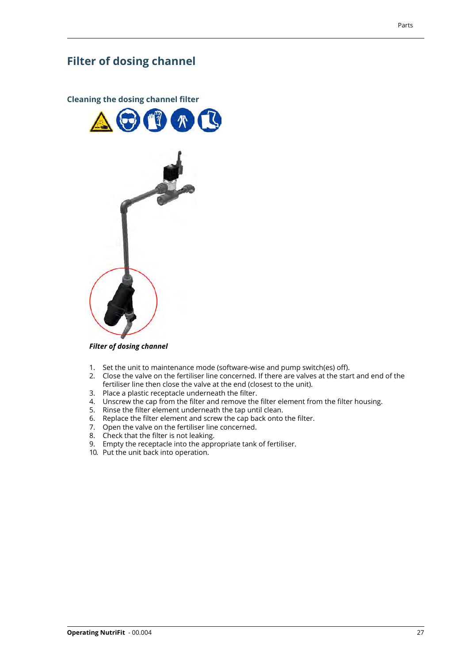### <span id="page-28-0"></span>**Filter of dosing channel**

<span id="page-28-1"></span>

*Filter of dosing channel*

- 1. Set the unit to maintenance mode (software-wise and pump switch(es) off).
- 2. Close the valve on the fertiliser line concerned. If there are valves at the start and end of the fertiliser line then close the valve at the end (closest to the unit).
- 3. Place a plastic receptacle underneath the filter.
- 4. Unscrew the cap from the filter and remove the filter element from the filter housing.
- 5. Rinse the filter element underneath the tap until clean.
- 6. Replace the filter element and screw the cap back onto the filter.
- 7. Open the valve on the fertiliser line concerned.
- 8. Check that the filter is not leaking.
- 9. Empty the receptacle into the appropriate tank of fertiliser.
- 10. Put the unit back into operation.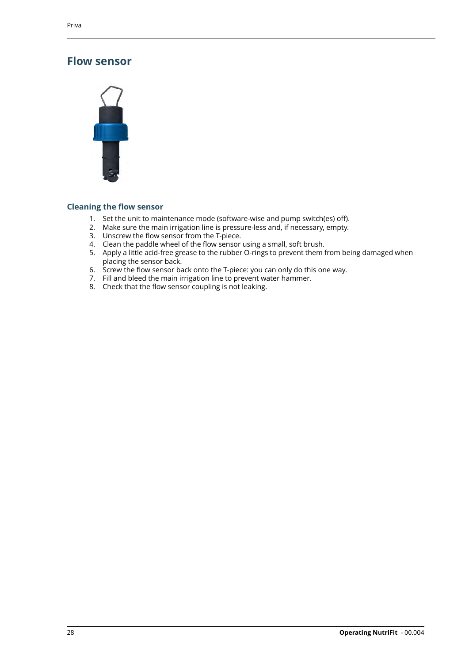### <span id="page-29-0"></span>**Flow sensor**



#### <span id="page-29-1"></span>**Cleaning the flow sensor**

- 1. Set the unit to maintenance mode (software-wise and pump switch(es) off).
- 2. Make sure the main irrigation line is pressure-less and, if necessary, empty.
- 3. Unscrew the flow sensor from the T-piece.
- 4. Clean the paddle wheel of the flow sensor using a small, soft brush.
- 5. Apply a little acid-free grease to the rubber O-rings to prevent them from being damaged when placing the sensor back.
- 6. Screw the flow sensor back onto the T-piece: you can only do this one way.
- 7. Fill and bleed the main irrigation line to prevent water hammer.
- 8. Check that the flow sensor coupling is not leaking.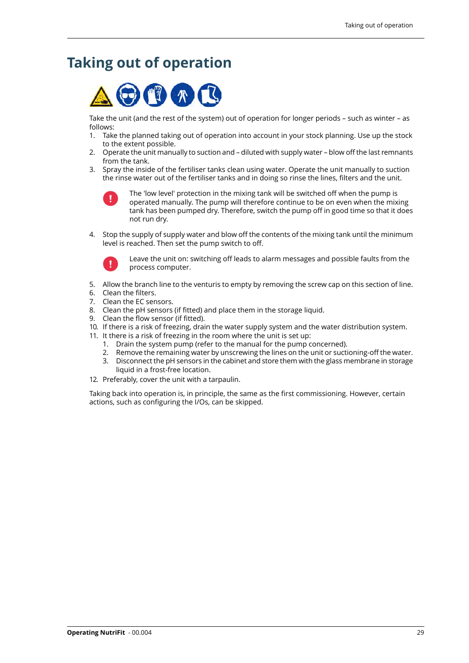# <span id="page-30-0"></span>**Taking out of operation**



Take the unit (and the rest of the system) out of operation for longer periods – such as winter – as follows:

- 1. Take the planned taking out of operation into account in your stock planning. Use up the stock to the extent possible.
- 2. Operate the unit manually to suction and diluted with supply water blow off the last remnants from the tank.
- 3. Spray the inside of the fertiliser tanks clean using water. Operate the unit manually to suction the rinse water out of the fertiliser tanks and in doing so rinse the lines, filters and the unit.



The 'low level' protection in the mixing tank will be switched off when the pump is operated manually. The pump will therefore continue to be on even when the mixing tank has been pumped dry. Therefore, switch the pump off in good time so that it does not run dry.

4. Stop the supply of supply water and blow off the contents of the mixing tank until the minimum level is reached. Then set the pump switch to off.



Leave the unit on: switching off leads to alarm messages and possible faults from the process computer.

- 5. Allow the branch line to the venturis to empty by removing the screw cap on this section of line.
- 6. Clean the filters.
- 7. Clean the EC sensors.
- 8. Clean the pH sensors (if fitted) and place them in the storage liquid.
- 9. Clean the flow sensor (if fitted).
- 10. If there is a risk of freezing, drain the water supply system and the water distribution system.
- 11. It there is a risk of freezing in the room where the unit is set up:
	- 1. Drain the system pump (refer to the manual for the pump concerned).
	- 2. Remove the remaining water by unscrewing the lines on the unit or suctioning-off the water.
	- 3. Disconnect the pH sensors in the cabinet and store them with the glass membrane in storage liquid in a frost-free location.
- 12. Preferably, cover the unit with a tarpaulin.

Taking back into operation is, in principle, the same as the first commissioning. However, certain actions, such as configuring the I/Os, can be skipped.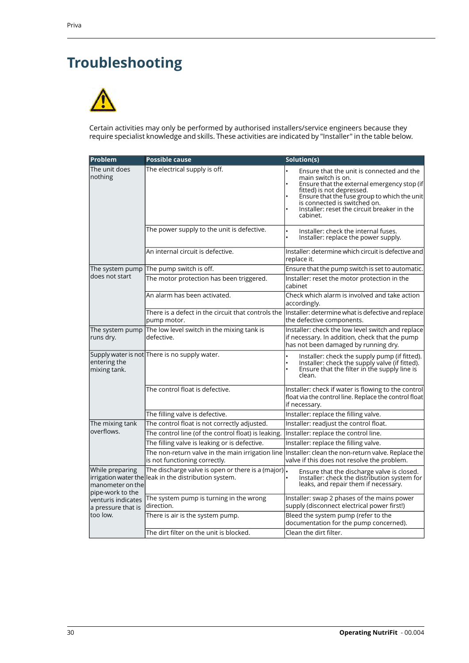# <span id="page-31-0"></span>**Troubleshooting**



Certain activities may only be performed by authorised installers/service engineers because they require specialist knowledge and skills. These activities are indicated by "Installer" in the table below.

| Problem                                                 | <b>Possible cause</b>                                                                                       | Solution(s)                                                                                                                                                                                                                                                                            |
|---------------------------------------------------------|-------------------------------------------------------------------------------------------------------------|----------------------------------------------------------------------------------------------------------------------------------------------------------------------------------------------------------------------------------------------------------------------------------------|
| The unit does<br>nothing                                | The electrical supply is off.                                                                               | Ensure that the unit is connected and the<br>main switch is on.<br>Ensure that the external emergency stop (if<br>Fitted) is not depressed.<br>Ensure that the fuse group to which the unit<br>is connected is switched on.<br>Installer: reset the circuit breaker in the<br>cabinet. |
|                                                         | The power supply to the unit is defective.                                                                  | Installer: check the internal fuses.<br>Installer: replace the power supply.                                                                                                                                                                                                           |
|                                                         | An internal circuit is defective.                                                                           | Installer: determine which circuit is defective and<br>replace it.                                                                                                                                                                                                                     |
| The system pump                                         | The pump switch is off.                                                                                     | Ensure that the pump switch is set to automatic.                                                                                                                                                                                                                                       |
| does not start                                          | The motor protection has been triggered.                                                                    | Installer: reset the motor protection in the<br>cabinet                                                                                                                                                                                                                                |
|                                                         | An alarm has been activated.                                                                                | Check which alarm is involved and take action<br>accordingly.                                                                                                                                                                                                                          |
|                                                         | There is a defect in the circuit that controls the<br>pump motor.                                           | Installer: determine what is defective and replace<br>the defective components.                                                                                                                                                                                                        |
| The system pump<br>runs dry.                            | The low level switch in the mixing tank is<br>defective.                                                    | Installer: check the low level switch and replace<br>if necessary. In addition, check that the pump<br>has not been damaged by running dry.                                                                                                                                            |
| entering the<br>mixing tank.                            | Supply water is not There is no supply water.                                                               | Installer: check the supply pump (if fitted).<br>Installer: check the supply valve (if fitted).<br>Ensure that the filter in the supply line is<br>clean.                                                                                                                              |
|                                                         | The control float is defective.                                                                             | Installer: check if water is flowing to the control<br>float via the control line. Replace the control float<br>if necessary.                                                                                                                                                          |
|                                                         | The filling valve is defective.                                                                             | Installer: replace the filling valve.                                                                                                                                                                                                                                                  |
| The mixing tank                                         | The control float is not correctly adjusted.                                                                | Installer: readjust the control float.                                                                                                                                                                                                                                                 |
| overflows.                                              | The control line (of the control float) is leaking.                                                         | Installer: replace the control line.                                                                                                                                                                                                                                                   |
|                                                         | The filling valve is leaking or is defective.                                                               | Installer: replace the filling valve.                                                                                                                                                                                                                                                  |
|                                                         | The non-return valve in the main irrigation line<br>is not functioning correctly.                           | Installer: clean the non-return valve. Replace the<br>valve if this does not resolve the problem.                                                                                                                                                                                      |
| While preparing<br>manometer on the<br>pipe-work to the | The discharge valve is open or there is a (major).<br>irrigation water the leak in the distribution system. | Ensure that the discharge valve is closed.<br>Installer: check the distribution system for<br>leaks, and repair them if necessary.                                                                                                                                                     |
| venturis indicates<br>a pressure that is                | The system pump is turning in the wrong<br>direction.                                                       | Installer: swap 2 phases of the mains power<br>supply (disconnect electrical power first!)                                                                                                                                                                                             |
| too low.                                                | There is air is the system pump.                                                                            | Bleed the system pump (refer to the<br>documentation for the pump concerned).                                                                                                                                                                                                          |
|                                                         | The dirt filter on the unit is blocked.                                                                     | Clean the dirt filter.                                                                                                                                                                                                                                                                 |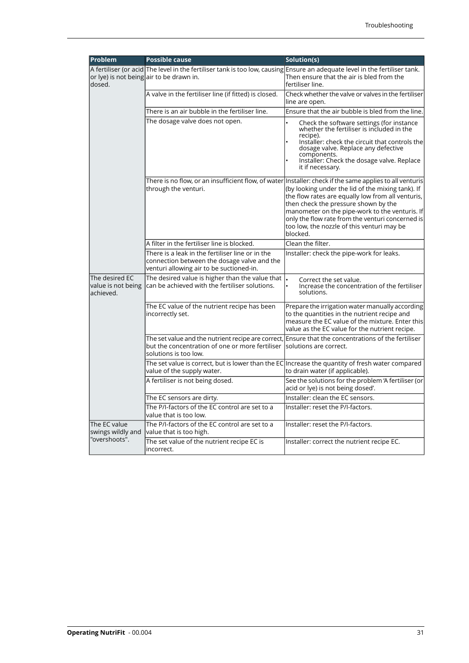| Problem                                           | <b>Possible cause</b>                                                                                                                                                   | Solution(s)                                                                                                                                                                                                                                                                                                                                                                                                                |
|---------------------------------------------------|-------------------------------------------------------------------------------------------------------------------------------------------------------------------------|----------------------------------------------------------------------------------------------------------------------------------------------------------------------------------------------------------------------------------------------------------------------------------------------------------------------------------------------------------------------------------------------------------------------------|
| dosed.                                            | A fertiliser (or acid The level in the fertiliser tank is too low, causing Ensure an adequate level in the fertiliser tank.<br>or lye) is not being air to be drawn in. | Then ensure that the air is bled from the<br>fertiliser line.                                                                                                                                                                                                                                                                                                                                                              |
|                                                   | A valve in the fertiliser line (if fitted) is closed.                                                                                                                   | Check whether the valve or valves in the fertiliser<br>line are open.                                                                                                                                                                                                                                                                                                                                                      |
|                                                   | There is an air bubble in the fertiliser line.                                                                                                                          | Ensure that the air bubble is bled from the line.                                                                                                                                                                                                                                                                                                                                                                          |
|                                                   | The dosage valve does not open.                                                                                                                                         | Check the software settings (for instance<br>whether the fertiliser is included in the<br>recipe).<br>Installer: check the circuit that controls the<br>dosage valve. Replace any defective<br>components.<br>Installer: Check the dosage valve. Replace<br>it if necessary.                                                                                                                                               |
|                                                   | through the venturi.                                                                                                                                                    | There is no flow, or an insufficient flow, of water Installer: check if the same applies to all venturis<br>(by looking under the lid of the mixing tank). If<br>the flow rates are equally low from all venturis,<br>then check the pressure shown by the<br>manometer on the pipe-work to the venturis. If<br>only the flow rate from the venturi concerned is<br>too low, the nozzle of this venturi may be<br>blocked. |
|                                                   | A filter in the fertiliser line is blocked.                                                                                                                             | Clean the filter.                                                                                                                                                                                                                                                                                                                                                                                                          |
|                                                   | There is a leak in the fertiliser line or in the<br>connection between the dosage valve and the<br>venturi allowing air to be suctioned-in.                             | Installer: check the pipe-work for leaks.                                                                                                                                                                                                                                                                                                                                                                                  |
| The desired EC<br>value is not being<br>achieved. | The desired value is higher than the value that<br>can be achieved with the fertiliser solutions.                                                                       | Correct the set value.<br>Increase the concentration of the fertiliser<br>solutions.                                                                                                                                                                                                                                                                                                                                       |
|                                                   | The EC value of the nutrient recipe has been<br>incorrectly set.                                                                                                        | Prepare the irrigation water manually according<br>to the quantities in the nutrient recipe and<br>measure the EC value of the mixture. Enter this<br>value as the EC value for the nutrient recipe.                                                                                                                                                                                                                       |
|                                                   | The set value and the nutrient recipe are correct,<br>but the concentration of one or more fertiliser<br>solutions is too low.                                          | Ensure that the concentrations of the fertiliser<br>lsolutions are correct.                                                                                                                                                                                                                                                                                                                                                |
|                                                   | value of the supply water.                                                                                                                                              | The set value is correct, but is lower than the EC Increase the quantity of fresh water compared<br>to drain water (if applicable).                                                                                                                                                                                                                                                                                        |
|                                                   | A fertiliser is not being dosed.                                                                                                                                        | See the solutions for the problem 'A fertiliser (or<br>acid or lye) is not being dosed'.                                                                                                                                                                                                                                                                                                                                   |
|                                                   | The EC sensors are dirty.                                                                                                                                               | Installer: clean the EC sensors.                                                                                                                                                                                                                                                                                                                                                                                           |
|                                                   | The P/I-factors of the EC control are set to a<br>value that is too low.                                                                                                | Installer: reset the P/I-factors.                                                                                                                                                                                                                                                                                                                                                                                          |
| The EC value<br>swings wildly and                 | The P/I-factors of the EC control are set to a<br>value that is too high.                                                                                               | Installer: reset the P/I-factors.                                                                                                                                                                                                                                                                                                                                                                                          |
| "overshoots".                                     | The set value of the nutrient recipe EC is<br>incorrect.                                                                                                                | Installer: correct the nutrient recipe EC.                                                                                                                                                                                                                                                                                                                                                                                 |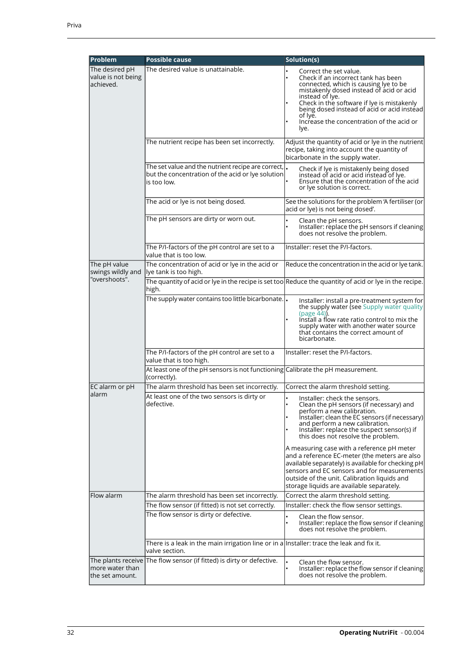| <b>Problem</b>                                     | <b>Possible cause</b>                                                                                                                                      | Solution(s)                                                                                                                                                                                                                                                                                                                        |
|----------------------------------------------------|------------------------------------------------------------------------------------------------------------------------------------------------------------|------------------------------------------------------------------------------------------------------------------------------------------------------------------------------------------------------------------------------------------------------------------------------------------------------------------------------------|
| The desired pH<br>value is not being<br>lachieved. | The desired value is unattainable.                                                                                                                         | Correct the set value.<br>Check if an incorrect tank has been<br>connected, which is causing lye to be<br>mistakenly dosed instead of acid or acid<br>instead of lye.<br>Check in the software if lye is mistakenly<br>being dosed instead of acid or acid instead<br>of Iye.<br>Increase the concentration of the acid or<br>lye. |
|                                                    | The nutrient recipe has been set incorrectly.                                                                                                              | Adjust the quantity of acid or lye in the nutrient<br>recipe, taking into account the quantity of<br>bicarbonate in the supply water.                                                                                                                                                                                              |
|                                                    | The set value and the nutrient recipe are correct, $\vert_{\scriptscriptstyle\bullet}$<br>but the concentration of the acid or lye solution<br>is too low. | Check if lye is mistakenly being dosed<br>instead of acid or acid instead of lye.<br>Ensure that the concentration of the acid<br>or lye solution is correct.                                                                                                                                                                      |
|                                                    | The acid or lye is not being dosed.                                                                                                                        | See the solutions for the problem 'A fertiliser (or<br>acid or lye) is not being dosed'.                                                                                                                                                                                                                                           |
|                                                    | The pH sensors are dirty or worn out.                                                                                                                      | Clean the pH sensors.<br>Installer: replace the pH sensors if cleaning<br>does not resolve the problem.                                                                                                                                                                                                                            |
|                                                    | The P/I-factors of the pH control are set to a<br>value that is too low.                                                                                   | Installer: reset the P/I-factors.                                                                                                                                                                                                                                                                                                  |
| The pH value<br>swings wildly and                  | The concentration of acid or lye in the acid or<br>lye tank is too high.                                                                                   | Reduce the concentration in the acid or lye tank.                                                                                                                                                                                                                                                                                  |
| "overshoots".                                      | high.                                                                                                                                                      | The quantity of acid or lye in the recipe is set too Reduce the quantity of acid or lye in the recipe.                                                                                                                                                                                                                             |
|                                                    | The supply water contains too little bicarbonate. .                                                                                                        | Installer: install a pre-treatment system for<br>the supply water (see Supply water quality<br>$(page 44)$ .<br>Install a flow rate ratio control to mix the<br>supply water with another water source<br>that contains the correct amount of<br>bicarbonate.                                                                      |
|                                                    | The P/I-factors of the pH control are set to a<br>value that is too high.                                                                                  | Installer: reset the P/I-factors.                                                                                                                                                                                                                                                                                                  |
|                                                    | At least one of the pH sensors is not functioning Calibrate the pH measurement.<br>(correctly).                                                            |                                                                                                                                                                                                                                                                                                                                    |
| EC alarm or pH                                     | The alarm threshold has been set incorrectly.                                                                                                              | Correct the alarm threshold setting.                                                                                                                                                                                                                                                                                               |
| lalarm                                             | At least one of the two sensors is dirty or<br>defective.                                                                                                  | Installer: check the sensors.<br>Clean the pH sensors (if necessary) and<br>perform a new calibration.<br>Installer: clean the EC sensors (if necessary)<br>and perform a new calibration.<br>Installer: replace the suspect sensor(s) if<br>this does not resolve the problem.<br>A measuring case with a reference pH meter      |
|                                                    |                                                                                                                                                            | and a reference EC-meter (the meters are also<br>available separately) is available for checking pH<br>sensors and EC sensors and for measurements<br>outside of the unit. Calibration liquids and<br>storage liquids are available separately.                                                                                    |
| Flow alarm                                         | The alarm threshold has been set incorrectly.                                                                                                              | Correct the alarm threshold setting.                                                                                                                                                                                                                                                                                               |
|                                                    | The flow sensor (if fitted) is not set correctly.                                                                                                          | Installer: check the flow sensor settings.                                                                                                                                                                                                                                                                                         |
|                                                    | The flow sensor is dirty or defective.                                                                                                                     | Clean the flow sensor.<br>Installer: replace the flow sensor if cleaning<br>does not resolve the problem.                                                                                                                                                                                                                          |
|                                                    | There is a leak in the main irrigation line or in a Installer: trace the leak and fix it.<br>valve section.                                                |                                                                                                                                                                                                                                                                                                                                    |
| more water than<br>lthe set amount.                | The plants receive The flow sensor (if fitted) is dirty or defective.                                                                                      | Clean the flow sensor.<br>Installer: replace the flow sensor if cleaning<br>does not resolve the problem.                                                                                                                                                                                                                          |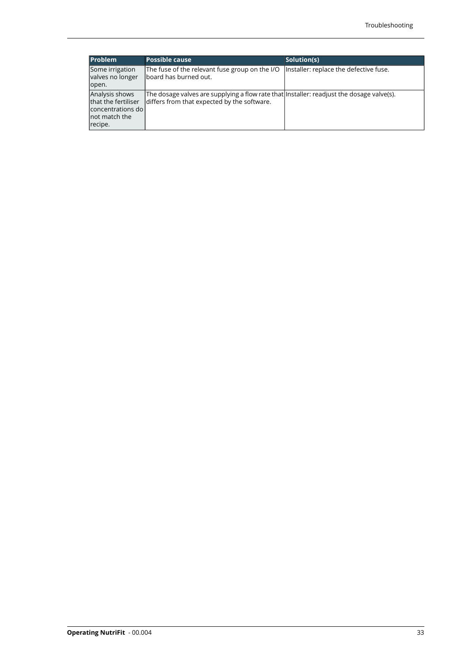| <b>Problem</b>                                                                            | <b>Possible cause</b>                                                                                                                     | Solution(s)                            |
|-------------------------------------------------------------------------------------------|-------------------------------------------------------------------------------------------------------------------------------------------|----------------------------------------|
| Some irrigation<br>valves no longer                                                       | The fuse of the relevant fuse group on the I/O<br>lboard has burned out.                                                                  | Installer: replace the defective fuse. |
| lopen.                                                                                    |                                                                                                                                           |                                        |
| Analysis shows<br>that the fertiliser<br>concentrations do l<br>lnot match the<br>recipe. | The dosage valves are supplying a flow rate that linstaller: readjust the dosage valve(s).<br>differs from that expected by the software. |                                        |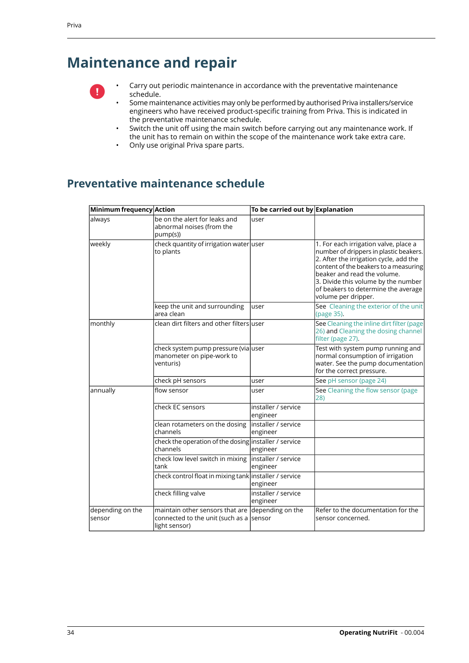# <span id="page-35-0"></span>**Maintenance and repair**



• Carry out periodic maintenance in accordance with the preventative maintenance schedule.

- Some maintenance activities may only be performed by authorised Priva installers/service engineers who have received product-specific training from Priva. This is indicated in the preventative maintenance schedule.
- Switch the unit off using the main switch before carrying out any maintenance work. If the unit has to remain on within the scope of the maintenance work take extra care.
- Only use original Priva spare parts.

### <span id="page-35-1"></span>**Preventative maintenance schedule**

| Minimum frequency Action    |                                                                                                              | To be carried out by Explanation |                                                                                                                                                                                                                                                                                                        |
|-----------------------------|--------------------------------------------------------------------------------------------------------------|----------------------------------|--------------------------------------------------------------------------------------------------------------------------------------------------------------------------------------------------------------------------------------------------------------------------------------------------------|
| always                      | be on the alert for leaks and<br>abnormal noises (from the<br>pump(s))                                       | user                             |                                                                                                                                                                                                                                                                                                        |
| weekly                      | check quantity of irrigation water user<br>to plants                                                         |                                  | 1. For each irrigation valve, place a<br>number of drippers in plastic beakers.<br>2. After the irrigation cycle, add the<br>content of the beakers to a measuring<br>beaker and read the volume.<br>3. Divide this volume by the number<br>of beakers to determine the average<br>volume per dripper. |
|                             | keep the unit and surrounding<br>area clean                                                                  | user                             | See Cleaning the exterior of the unit<br>(page 35).                                                                                                                                                                                                                                                    |
| monthly                     | clean dirt filters and other filters user                                                                    |                                  | See Cleaning the inline dirt filter (page<br>26) and Cleaning the dosing channel<br>filter (page 27).                                                                                                                                                                                                  |
|                             | check system pump pressure (via user<br>manometer on pipe-work to<br>venturis)                               |                                  | Test with system pump running and<br>normal consumption of irrigation<br>water. See the pump documentation<br>for the correct pressure.                                                                                                                                                                |
|                             | check pH sensors                                                                                             | user                             | See pH sensor (page 24)                                                                                                                                                                                                                                                                                |
| annually                    | flow sensor                                                                                                  | user                             | See Cleaning the flow sensor (page<br>28)                                                                                                                                                                                                                                                              |
|                             | check EC sensors                                                                                             | installer / service<br>engineer  |                                                                                                                                                                                                                                                                                                        |
|                             | clean rotameters on the dosing<br>channels                                                                   | installer / service<br>engineer  |                                                                                                                                                                                                                                                                                                        |
|                             | check the operation of the dosing installer / service<br>channels                                            | engineer                         |                                                                                                                                                                                                                                                                                                        |
|                             | check low level switch in mixing<br>tank                                                                     | installer / service<br>engineer  |                                                                                                                                                                                                                                                                                                        |
|                             | check control float in mixing tank installer / service                                                       | engineer                         |                                                                                                                                                                                                                                                                                                        |
|                             | check filling valve                                                                                          | installer / service<br>engineer  |                                                                                                                                                                                                                                                                                                        |
| depending on the<br>lsensor | maintain other sensors that are depending on the<br>connected to the unit (such as a sensor<br>light sensor) |                                  | Refer to the documentation for the<br>sensor concerned.                                                                                                                                                                                                                                                |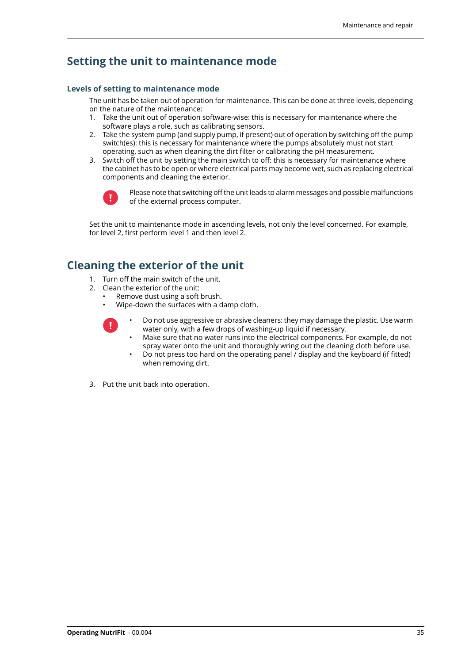### <span id="page-36-0"></span>**Setting the unit to maintenance mode**

#### <span id="page-36-1"></span>**Levels of setting to maintenance mode**

The unit has be taken out of operation for maintenance. This can be done at three levels, depending on the nature of the maintenance:

- 1. Take the unit out of operation software-wise: this is necessary for maintenance where the software plays a role, such as calibrating sensors.
- 2. Take the system pump (and supply pump, if present) out of operation by switching off the pump switch(es): this is necessary for maintenance where the pumps absolutely must not start operating, such as when cleaning the dirt filter or calibrating the pH measurement.
- 3. Switch off the unit by setting the main switch to off: this is necessary for maintenance where the cabinet has to be open or where electrical parts may become wet, such as replacing electrical components and cleaning the exterior.



Please note that switching off the unit leads to alarm messages and possible malfunctions of the external process computer.

Set the unit to maintenance mode in ascending levels, not only the level concerned. For example, for level 2, first perform level 1 and then level 2.

### <span id="page-36-2"></span>**Cleaning the exterior of the unit**

- 1. Turn off the main switch of the unit.
- 2. Clean the exterior of the unit:
	- Remove dust using a soft brush.
	- Wipe-down the surfaces with a damp cloth.



- Do not use aggressive or abrasive cleaners: they may damage the plastic. Use warm water only, with a few drops of washing-up liquid if necessary.
- Make sure that no water runs into the electrical components. For example, do not spray water onto the unit and thoroughly wring out the cleaning cloth before use.
- Do not press too hard on the operating panel / display and the keyboard (if fitted) when removing dirt.
- 3. Put the unit back into operation.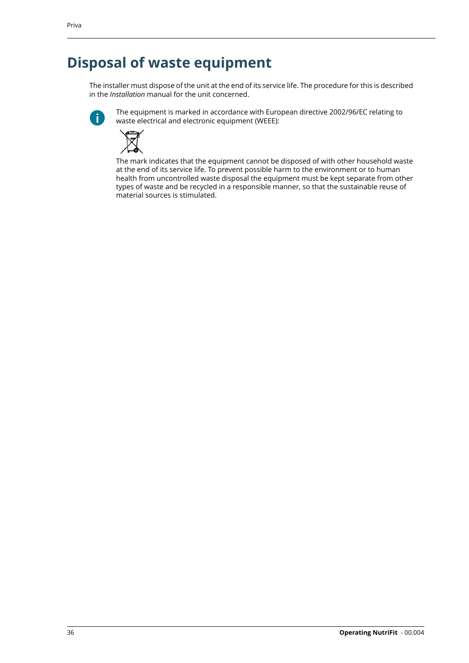# <span id="page-37-0"></span>**Disposal of waste equipment**

The installer must dispose of the unit at the end of its service life. The procedure for this is described in the *Installation* manual for the unit concerned.



The equipment is marked in accordance with European directive 2002/96/EC relating to waste electrical and electronic equipment (WEEE):



The mark indicates that the equipment cannot be disposed of with other household waste at the end of its service life. To prevent possible harm to the environment or to human health from uncontrolled waste disposal the equipment must be kept separate from other types of waste and be recycled in a responsible manner, so that the sustainable reuse of material sources is stimulated.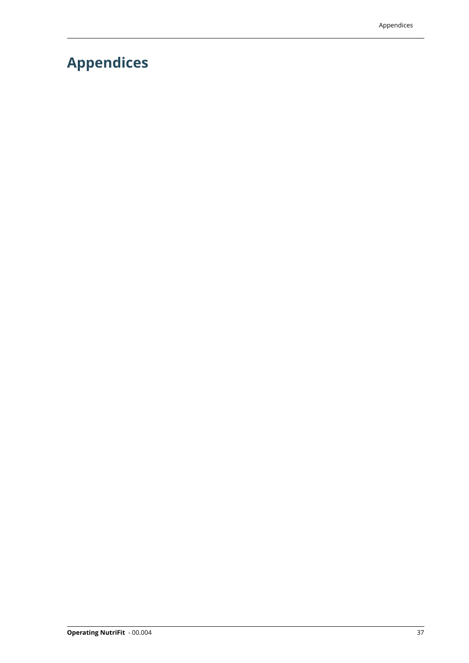# <span id="page-38-0"></span>**Appendices**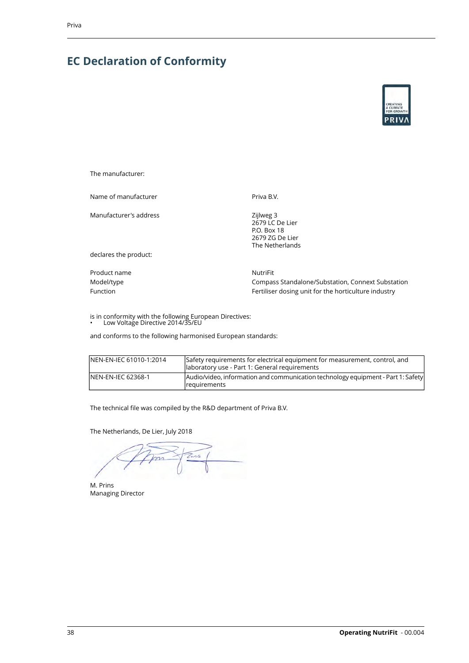## <span id="page-39-0"></span>**EC Declaration of Conformity**



The manufacturer:

Name of manufacturer **Priva B.V.** Priva B.V.

Manufacturer's address

Zijlweg 3 2679 LC De Lier P.O. Box 18 2679 ZG De Lier The Netherlands

declares the product:

Product name NutriFit

Model/type Compass Standalone/Substation, Connext Substation Function **Function** Fertiliser dosing unit for the horticulture industry

is in conformity with the following European Directives: • Low Voltage Directive 2014/35/EU

and conforms to the following harmonised European standards:

| INEN-EN-IEC 61010-1:2014 | Safety requirements for electrical equipment for measurement, control, and<br>laboratory use - Part 1: General requirements |
|--------------------------|-----------------------------------------------------------------------------------------------------------------------------|
| INEN-EN-IEC 62368-1      | Audio/video, information and communication technology equipment - Part 1: Safety<br><i>courrements</i>                      |

The technical file was compiled by the R&D department of Priva B.V.

The Netherlands, De Lier, July 2018

 $\mathbb{Z}_{ns}$  $\widetilde{\mathcal{P}}$ 

M. Prins Managing Director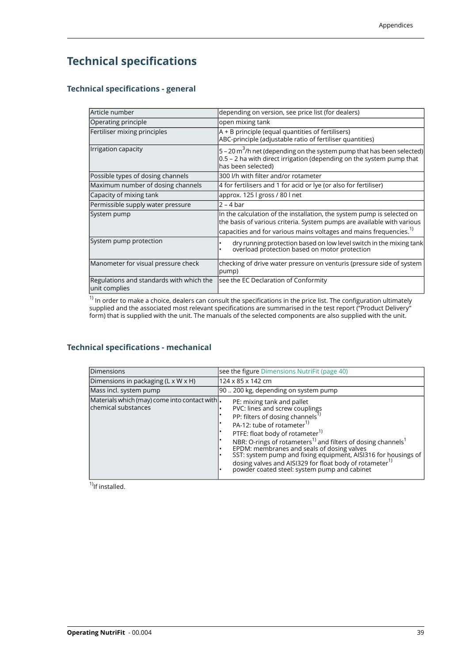## <span id="page-40-0"></span>**Technical specifications**

#### <span id="page-40-1"></span>**Technical specifications - general**

| Article number                                            | depending on version, see price list (for dealers)                                                                                                                          |
|-----------------------------------------------------------|-----------------------------------------------------------------------------------------------------------------------------------------------------------------------------|
| Operating principle                                       | open mixing tank                                                                                                                                                            |
| Fertiliser mixing principles                              | $A + B$ principle (equal quantities of fertilisers)<br>ABC-principle (adjustable ratio of fertiliser quantities)                                                            |
| Irrigation capacity                                       | $ 5$ – 20 m $^3$ /h net (depending on the system pump that has been selected)<br>0.5 - 2 ha with direct irrigation (depending on the system pump that<br>has been selected) |
| Possible types of dosing channels                         | 300 I/h with filter and/or rotameter                                                                                                                                        |
| Maximum number of dosing channels                         | 4 for fertilisers and 1 for acid or lye (or also for fertiliser)                                                                                                            |
| Capacity of mixing tank                                   | approx. 125   gross / 80   net                                                                                                                                              |
| Permissible supply water pressure                         | $2 - 4 bar$                                                                                                                                                                 |
| System pump                                               | In the calculation of the installation, the system pump is selected on<br>the basis of various criteria. System pumps are available with various                            |
|                                                           | capacities and for various mains voltages and mains frequencies. $^{1}$                                                                                                     |
| System pump protection                                    | dry running protection based on low level switch in the mixing tank<br>overload protection based on motor protection                                                        |
| Manometer for visual pressure check                       | checking of drive water pressure on venturis (pressure side of system<br>(pump                                                                                              |
| Regulations and standards with which the<br>unit complies | see the EC Declaration of Conformity                                                                                                                                        |

<span id="page-40-2"></span> $^{\rm 1)}$  In order to make a choice, dealers can consult the specifications in the price list. The configuration ultimately supplied and the associated most relevant specifications are summarised in the test report ("Product Delivery" form) that is supplied with the unit. The manuals of the selected components are also supplied with the unit.

#### **Technical specifications - mechanical**

| Dimensions                                                            | see the figure Dimensions NutriFit (page 40)                                                                                                                                                                                                                                                                                                                                                                                                                                                                                         |
|-----------------------------------------------------------------------|--------------------------------------------------------------------------------------------------------------------------------------------------------------------------------------------------------------------------------------------------------------------------------------------------------------------------------------------------------------------------------------------------------------------------------------------------------------------------------------------------------------------------------------|
| Dimensions in packaging (L x W x H)                                   | 124 x 85 x 142 cm                                                                                                                                                                                                                                                                                                                                                                                                                                                                                                                    |
| Mass incl. system pump                                                | 90  200 kg, depending on system pump                                                                                                                                                                                                                                                                                                                                                                                                                                                                                                 |
| Materials which (may) come into contact with.<br>lchemical substances | PE: mixing tank and pallet<br>PVC: lines and screw couplings<br>PP: filters of dosing channels <sup>1)</sup><br>PA-12: tube of rotameter <sup>1)</sup><br>PTFE: float body of rotameter <sup>1)</sup><br>NBR: O-rings of rotameters <sup>1)</sup> and filters of dosing channels <sup>1</sup><br>EPDM: membranes and seals of dosing valves<br>SST: system pump and fixing equipment, AISI316 for housings of<br>dosing valves and AISI329 for float body of rotameter <sup>1)</sup><br>powder coated steel: system pump and cabinet |

 $<sup>1</sup>$ If installed.</sup>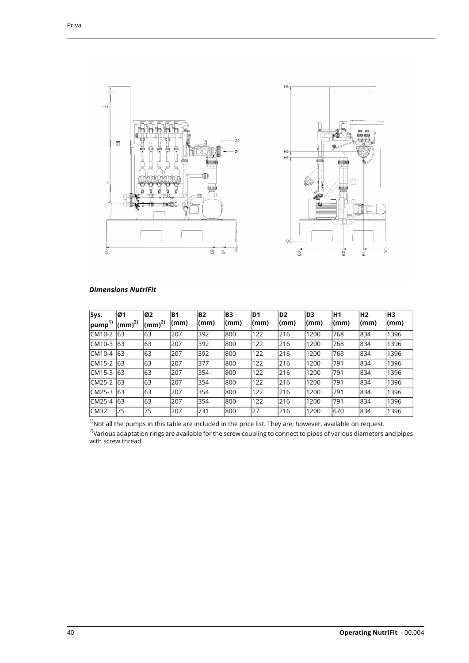<span id="page-41-0"></span>

| <b>Dimensions NutriFit</b> |  |
|----------------------------|--|
|----------------------------|--|

| Sys.             | Ø1                         | Ø2              | B <sub>1</sub> | <b>B2</b> | <b>B3</b> | D <sub>1</sub> | D <sub>2</sub> | ID3  | H1   | H <sub>2</sub> | H <sub>3</sub> |
|------------------|----------------------------|-----------------|----------------|-----------|-----------|----------------|----------------|------|------|----------------|----------------|
| $ $ pump $^{1)}$ | $\vert$ (mm) <sup>2)</sup> | $\rm (mm)^{2)}$ | (mm)           | (mm)      | (mm)      | (mm)           | (mm)           | (mm) | (mm) | (mm)           | (mm)           |
| CM10-2           | 63                         | 63              | 207            | 392       | 800       | 122            | 216            | 1200 | 768  | 834            | 1396           |
| ICM10-3          | 63                         | 63              | l207           | 392       | 800       | 122            | 216            | 1200 | 768  | 834            | 1396           |
| ICM10-4          | 63                         | 63              | 207            | 392       | 800       | 122            | 216            | 1200 | 768  | 834            | 1396           |
| CM15-2           | 63                         | 63              | l207           | 377       | 800       | 122            | 216            | 1200 | 791  | 834            | 1396           |
| ICM15-3          | 63                         | 63              | 207            | 354       | 800       | 122            | 216            | 1200 | 791  | 834            | 1396           |
| CM25-2           | 63                         | 63              | 207            | 354       | 800       | 122            | 216            | 1200 | 791  | 834            | 1396           |
| ICM25-3          | 63                         | 63              | l207           | 354       | 800       | 122            | 216            | 1200 | 791  | 834            | 1396           |
| CM25-4           | 63                         | 63              | 1207           | 354       | 800       | 122            | 216            | 1200 | 1791 | 834            | 1396           |
| CM32             | 175                        | 75              | l207           | 731       | 800       | 27             | 216            | 1200 | 670  | 1834           | 1396           |

 $^{\text{1)}}$ Not all the pumps in this table are included in the price list. They are, however, available on request. <sup>2)</sup>Various adaptation rings are available for the screw coupling to connect to pipes of various diameters and pipes with screw thread.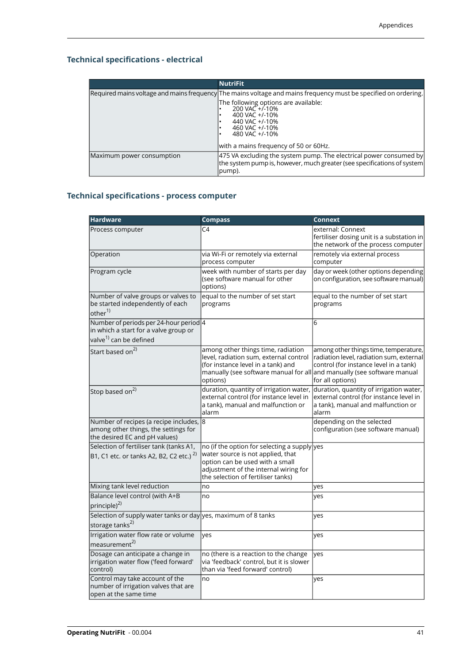### <span id="page-42-0"></span>**Technical specifications - electrical**

|                           | <b>NutriFit</b>                                                                                                                                             |
|---------------------------|-------------------------------------------------------------------------------------------------------------------------------------------------------------|
|                           | [Required mains voltage and mains frequency] The mains voltage and mains frequency must be specified on ordering.                                           |
|                           | The following options are available:<br>$200 \text{ VA}C + 1.10\%$<br>400 VAC +/-10%<br>440 VAC +/-10%<br>460 VAC +/-10%<br>480 VAC +/-10%                  |
|                           | with a mains frequency of 50 or 60Hz.                                                                                                                       |
| Maximum power consumption | [475 VA excluding the system pump. The electrical power consumed by]<br>the system pump is, however, much greater (see specifications of system)<br>(pump). |

## <span id="page-42-1"></span>**Technical specifications - process computer**

| <b>Hardware</b>                                                                                                       | <b>Compass</b>                                                                                                                                                                                            | <b>Connext</b>                                                                                                                                  |
|-----------------------------------------------------------------------------------------------------------------------|-----------------------------------------------------------------------------------------------------------------------------------------------------------------------------------------------------------|-------------------------------------------------------------------------------------------------------------------------------------------------|
| Process computer                                                                                                      | C <sub>4</sub>                                                                                                                                                                                            | external: Connext<br>fertiliser dosing unit is a substation in<br>the network of the process computer                                           |
| Operation                                                                                                             | via Wi-Fi or remotely via external<br>process computer                                                                                                                                                    | remotely via external process<br>computer                                                                                                       |
| Program cycle                                                                                                         | week with number of starts per day<br>(see software manual for other<br>options)                                                                                                                          | day or week (other options depending<br>on configuration, see software manual)                                                                  |
| Number of valve groups or valves to<br>be started independently of each<br>other <sup>1)</sup>                        | equal to the number of set start<br>programs                                                                                                                                                              | equal to the number of set start<br>programs                                                                                                    |
| Number of periods per 24-hour period 4<br>in which a start for a valve group or<br>valve <sup>1)</sup> can be defined |                                                                                                                                                                                                           | 6                                                                                                                                               |
| Start based on <sup>2)</sup>                                                                                          | among other things time, radiation<br>level, radiation sum, external control<br>(for instance level in a tank) and<br>manually (see software manual for all and manually (see software manual<br>options) | among other things time, temperature,<br>radiation level, radiation sum, external<br>control (for instance level in a tank)<br>for all options) |
| Stop based on <sup>2)</sup>                                                                                           | duration, quantity of irrigation water,<br>external control (for instance level in<br>a tank), manual and malfunction or<br>alarm                                                                         | duration, quantity of irrigation water,<br>external control (for instance level in<br>a tank), manual and malfunction or<br>alarm               |
| Number of recipes (a recipe includes, 8<br>among other things, the settings for<br>the desired EC and pH values)      |                                                                                                                                                                                                           | depending on the selected<br>configuration (see software manual)                                                                                |
| Selection of fertiliser tank (tanks A1,<br>B1, C1 etc. or tanks A2, B2, C2 etc.) <sup>2)</sup>                        | no (if the option for selecting a supply yes<br>water source is not applied, that<br>option can be used with a small<br>adjustment of the internal wiring for<br>the selection of fertiliser tanks)       |                                                                                                                                                 |
| Mixing tank level reduction                                                                                           | no                                                                                                                                                                                                        | yes                                                                                                                                             |
| Balance level control (with A+B<br>$ principle)^{2)}$                                                                 | no                                                                                                                                                                                                        | yes                                                                                                                                             |
| Selection of supply water tanks or day yes, maximum of 8 tanks<br>storage tanks <sup>2)</sup>                         |                                                                                                                                                                                                           | ves                                                                                                                                             |
| Irrigation water flow rate or volume<br>measurement <sup>2)</sup>                                                     | ves                                                                                                                                                                                                       | yes                                                                                                                                             |
| Dosage can anticipate a change in<br>irrigation water flow ('feed forward'<br>control)                                | no (there is a reaction to the change<br>via 'feedback' control, but it is slower<br>than via 'feed forward' control)                                                                                     | yes                                                                                                                                             |
| Control may take account of the<br>number of irrigation valves that are<br>open at the same time                      | no                                                                                                                                                                                                        | yes                                                                                                                                             |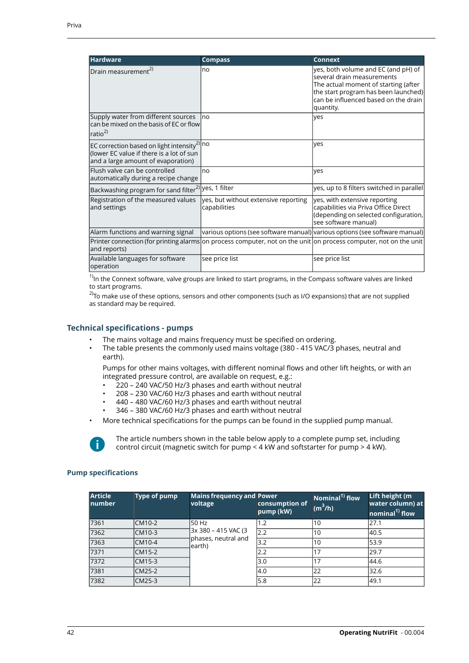| <b>Hardware</b>                                                                                                                           | <b>Compass</b>                                       | <b>Connext</b>                                                                                                                                                                                         |
|-------------------------------------------------------------------------------------------------------------------------------------------|------------------------------------------------------|--------------------------------------------------------------------------------------------------------------------------------------------------------------------------------------------------------|
| $ Drain measurement^{2}$                                                                                                                  | no                                                   | yes, both volume and EC (and pH) of<br>several drain measurements<br>The actual moment of starting (after<br>the start program has been launched)<br>can be influenced based on the drain<br>quantity. |
| Supply water from different sources<br>lcan be mixed on the basis of EC or flowl<br>$\vert$ ratio <sup>2)</sup>                           | Ino                                                  | lves                                                                                                                                                                                                   |
| EC correction based on light intensity <sup>2)</sup> no<br>(lower EC value if there is a lot of sun<br>and a large amount of evaporation) |                                                      | lves                                                                                                                                                                                                   |
| lFlush valve can be controlled<br>automatically during a recipe change                                                                    | no                                                   | lves                                                                                                                                                                                                   |
| $\left $ Backwashing program for sand filter <sup>2)</sup> yes, $\overline{1}$ filter                                                     |                                                      | yes, up to 8 filters switched in parallel                                                                                                                                                              |
| Registration of the measured values<br>and settings                                                                                       | yes, but without extensive reporting<br>capabilities | yes, with extensive reporting<br>capabilities via Priva Office Direct<br>(depending on selected configuration,<br>see software manual)                                                                 |
| Alarm functions and warning signal                                                                                                        |                                                      | various options (see software manual) various options (see software manual)                                                                                                                            |
| Printer connection (for printing alarms on process computer, not on the unit on process computer, not on the unit<br>and reports)         |                                                      |                                                                                                                                                                                                        |
| Available languages for software<br>operation                                                                                             | see price list                                       | see price list                                                                                                                                                                                         |

 $1)$ In the Connext software, valve groups are linked to start programs, in the Compass software valves are linked to start programs.

<span id="page-43-0"></span> $^{2)}$ To make use of these options, sensors and other components (such as I/O expansions) that are not supplied as standard may be required.

#### **Technical specifications - pumps**

- The mains voltage and mains frequency must be specified on ordering.
- The table presents the commonly used mains voltage (380 415 VAC/3 phases, neutral and earth).

Pumps for other mains voltages, with different nominal flows and other lift heights, or with an integrated pressure control, are available on request, e.g.:

- 220 240 VAC/50 Hz/3 phases and earth without neutral
- 208 230 VAC/60 Hz/3 phases and earth without neutral
- 440 480 VAC/60 Hz/3 phases and earth without neutral
- 346 380 VAC/60 Hz/3 phases and earth without neutral
- More technical specifications for the pumps can be found in the supplied pump manual.



The article numbers shown in the table below apply to a complete pump set, including control circuit (magnetic switch for pump < 4 kW and softstarter for pump > 4 kW).

#### **Pump specifications**

| <b>Article</b><br><b>Inumber</b> | Type of pump | <b>Mains frequency and Power</b><br>voltage           | consumption of<br>pump (kW) | Nominal <sup>1)</sup> flow<br>$(m^3/h)$ | Lift height (m<br>water column) at<br>nominal <sup>1)</sup> flow |
|----------------------------------|--------------|-------------------------------------------------------|-----------------------------|-----------------------------------------|------------------------------------------------------------------|
| 7361                             | CM10-2       | 50 Hz                                                 | 1.2                         | 110                                     | 27.1                                                             |
| 7362                             | CM10-3       | 3x 380 - 415 VAC (3<br>phases, neutral and<br>learth) | 2.2                         | 10                                      | 40.5                                                             |
| 7363                             | CM10-4       |                                                       | 3.2                         | 10                                      | 53.9                                                             |
| 7371                             | CM15-2       |                                                       | 2.2                         |                                         | 29.7                                                             |
| 7372                             | CM15-3       |                                                       | 3.0                         | 17                                      | 44.6                                                             |
| 7381                             | CM25-2       |                                                       | 4.0                         | 22                                      | 32.6                                                             |
| 7382                             | CM25-3       |                                                       | 5.8                         | 22                                      | 49.1                                                             |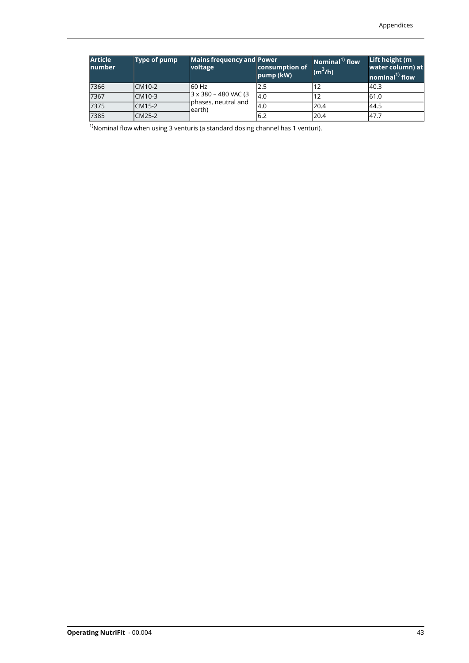| <b>Article</b><br><b>Inumber</b> | <b>Type of pump</b> | <b>Mains frequency and Power</b><br>voltage                     | consumption of<br>pump (kW) | Nominal <sup>1)</sup> flow<br>$(m^3/h)$ | Lift height (m<br>water column) at<br>nominal <sup>1)</sup> flow |
|----------------------------------|---------------------|-----------------------------------------------------------------|-----------------------------|-----------------------------------------|------------------------------------------------------------------|
| 7366                             | CM10-2              | 60 Hz<br>3 x 380 – 480 VAC (3<br>phases, neutral and<br>learth) | 2.5                         |                                         | 40.3                                                             |
| 7367                             | CM10-3              |                                                                 | l4.0                        |                                         | 61.0                                                             |
| 7375                             | CM15-2              |                                                                 | 4.0                         | 20.4                                    | 44.5                                                             |
| 7385                             | CM25-2              |                                                                 | 16.2                        | 120.4                                   | 47.7                                                             |

 $1)$ Nominal flow when using 3 venturis (a standard dosing channel has 1 venturi).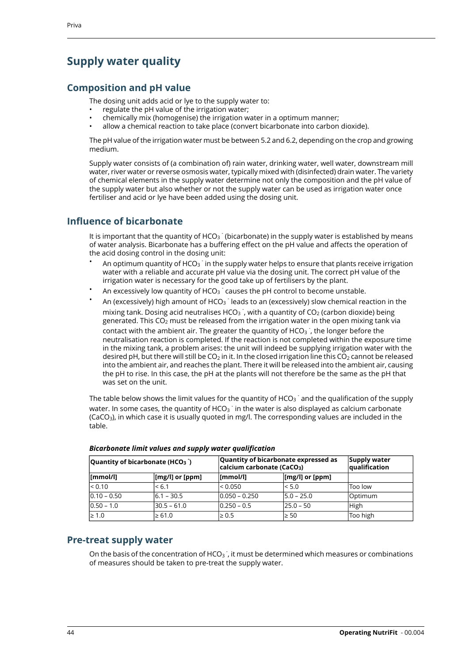## <span id="page-45-0"></span>**Supply water quality**

### **Composition and pH value**

The dosing unit adds acid or lye to the supply water to:

- regulate the pH value of the irrigation water;
- chemically mix (homogenise) the irrigation water in a optimum manner;
- allow a chemical reaction to take place (convert bicarbonate into carbon dioxide).

The pH value of the irrigation water must be between 5.2 and 6.2, depending on the crop and growing medium.

Supply water consists of (a combination of) rain water, drinking water, well water, downstream mill water, river water or reverse osmosis water, typically mixed with (disinfected) drain water. The variety of chemical elements in the supply water determine not only the composition and the pH value of the supply water but also whether or not the supply water can be used as irrigation water once fertiliser and acid or lye have been added using the dosing unit.

### **Influence of bicarbonate**

It is important that the quantity of HCO<sub>3</sub> (bicarbonate) in the supply water is established by means of water analysis. Bicarbonate has a buffering effect on the pH value and affects the operation of the acid dosing control in the dosing unit:

- An optimum quantity of HCO<sub>3</sub> in the supply water helps to ensure that plants receive irrigation water with a reliable and accurate pH value via the dosing unit. The correct pH value of the irrigation water is necessary for the good take up of fertilisers by the plant.
- An excessively low quantity of HCO $_3$  causes the pH control to become unstable.
- An (excessively) high amount of HCO<sub>3</sub> leads to an (excessively) slow chemical reaction in the mixing tank. Dosing acid neutralises HCO<sub>3</sub>, with a quantity of CO<sub>2</sub> (carbon dioxide) being generated. This  $CO<sub>2</sub>$  must be released from the irrigation water in the open mixing tank via contact with the ambient air. The greater the quantity of HCO<sub>3</sub><sup>-</sup>, the longer before the neutralisation reaction is completed. If the reaction is not completed within the exposure time in the mixing tank, a problem arises: the unit will indeed be supplying irrigation water with the desired pH, but there will still be  $CO<sub>2</sub>$  in it. In the closed irrigation line this  $CO<sub>2</sub>$  cannot be released into the ambient air, and reaches the plant. There it will be released into the ambient air, causing the pH to rise. In this case, the pH at the plants will not therefore be the same as the pH that was set on the unit.

The table below shows the limit values for the quantity of HCO<sub>3</sub> and the qualification of the supply water. In some cases, the quantity of HCO $_3^\text{-}$  in the water is also displayed as calcium carbonate  $(CaCO<sub>3</sub>)$ , in which case it is usually quoted in mg/l. The corresponding values are included in the table.

| Quantity of bicarbonate (HCO <sub>3</sub> ) |                                    | Quantity of bicarbonate expressed as<br>calcium carbonate (CaCO <sub>3</sub> ) |                                    | Supply water<br>qualification |
|---------------------------------------------|------------------------------------|--------------------------------------------------------------------------------|------------------------------------|-------------------------------|
| $ {\sf [mmol/l]} $                          | $\lfloor$ [mg/l] or $\lfloor$ ppm] | [mmol/l]                                                                       | $\lfloor$ [mg/l] or $\lfloor$ ppm] |                               |
| < 0.10                                      | 1 < 6.1                            | < 0.050                                                                        | $\leq 5.0$                         | Too low                       |
| $ 0.10 - 0.50 $                             | $6.1 - 30.5$                       | 10.050 – 0.250                                                                 | $ 5.0 - 25.0 $                     | lOptimum                      |
| $ 0.50 - 1.0 $                              | $ 30.5 - 61.0 $                    | 0.250 - 0.5                                                                    | 25.0 - 50                          | High                          |
| $\geq 1.0$                                  | $\geq 61.0$                        | $\geq 0.5$                                                                     | $\geq 50$                          | Too high                      |

*Bicarbonate limit values and supply water qualification*

#### **Pre-treat supply water**

On the basis of the concentration of HCO<sub>3</sub><sup>-</sup>, it must be determined which measures or combinations of measures should be taken to pre-treat the supply water.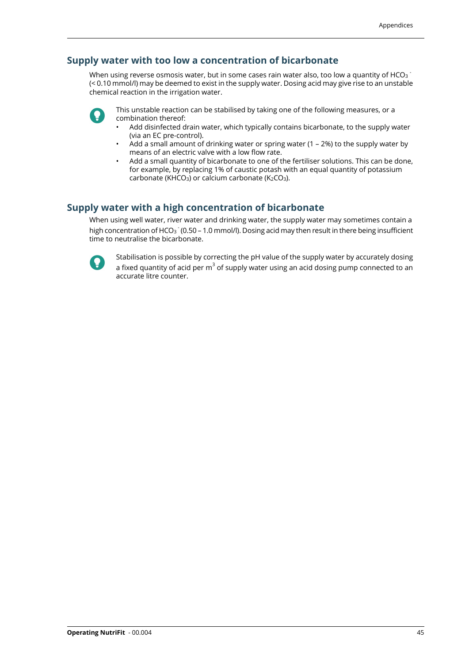#### **Supply water with too low a concentration of bicarbonate**

When using reverse osmosis water, but in some cases rain water also, too low a quantity of HCO $_3^{\text{-}}$ (< 0.10 mmol/l) may be deemed to exist in the supply water. Dosing acid may give rise to an unstable chemical reaction in the irrigation water.



This unstable reaction can be stabilised by taking one of the following measures, or a combination thereof:

- Add disinfected drain water, which typically contains bicarbonate, to the supply water (via an EC pre-control).
- Add a small amount of drinking water or spring water (1 2%) to the supply water by means of an electric valve with a low flow rate.
- Add a small quantity of bicarbonate to one of the fertiliser solutions. This can be done, for example, by replacing 1% of caustic potash with an equal quantity of potassium carbonate (KHCO<sub>3</sub>) or calcium carbonate ( $K_2CO_3$ ).

#### **Supply water with a high concentration of bicarbonate**

When using well water, river water and drinking water, the supply water may sometimes contain a high concentration of HCO<sub>3</sub> (0.50 - 1.0 mmol/l). Dosing acid may then result in there being insufficient time to neutralise the bicarbonate.



Stabilisation is possible by correcting the pH value of the supply water by accurately dosing a fixed quantity of acid per  $\mathrm{m}^3$  of supply water using an acid dosing pump connected to an accurate litre counter.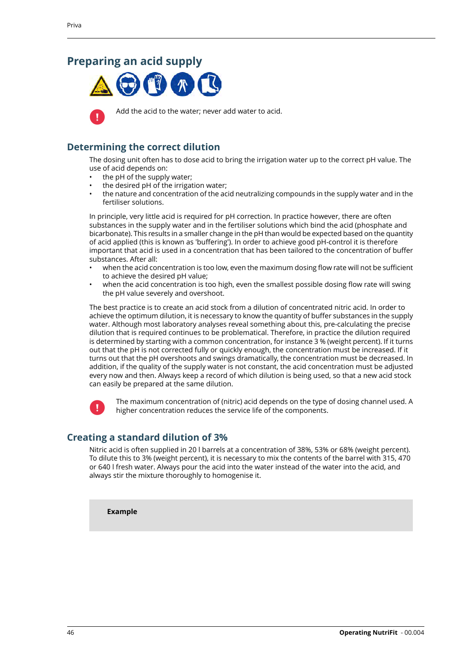### <span id="page-47-0"></span>**Preparing an acid supply**





Add the acid to the water; never add water to acid.

### **Determining the correct dilution**

The dosing unit often has to dose acid to bring the irrigation water up to the correct pH value. The use of acid depends on:

- the pH of the supply water;
- the desired pH of the irrigation water;
- the nature and concentration of the acid neutralizing compounds in the supply water and in the fertiliser solutions.

In principle, very little acid is required for pH correction. In practice however, there are often substances in the supply water and in the fertiliser solutions which bind the acid (phosphate and bicarbonate). This results in a smaller change in the pH than would be expected based on the quantity of acid applied (this is known as 'buffering'). In order to achieve good pH-control it is therefore important that acid is used in a concentration that has been tailored to the concentration of buffer substances. After all:

- when the acid concentration is too low, even the maximum dosing flow rate will not be sufficient to achieve the desired pH value;
- when the acid concentration is too high, even the smallest possible dosing flow rate will swing the pH value severely and overshoot.

The best practice is to create an acid stock from a dilution of concentrated nitric acid. In order to achieve the optimum dilution, it is necessary to know the quantity of buffer substances in the supply water. Although most laboratory analyses reveal something about this, pre-calculating the precise dilution that is required continues to be problematical. Therefore, in practice the dilution required is determined by starting with a common concentration, for instance 3 % (weight percent). If it turns out that the pH is not corrected fully or quickly enough, the concentration must be increased. If it turns out that the pH overshoots and swings dramatically, the concentration must be decreased. In addition, if the quality of the supply water is not constant, the acid concentration must be adjusted every now and then. Always keep a record of which dilution is being used, so that a new acid stock can easily be prepared at the same dilution.



The maximum concentration of (nitric) acid depends on the type of dosing channel used. A higher concentration reduces the service life of the components.

### **Creating a standard dilution of 3%**

Nitric acid is often supplied in 20 l barrels at a concentration of 38%, 53% or 68% (weight percent). To dilute this to 3% (weight percent), it is necessary to mix the contents of the barrel with 315, 470 or 640 l fresh water. Always pour the acid into the water instead of the water into the acid, and always stir the mixture thoroughly to homogenise it.

**Example**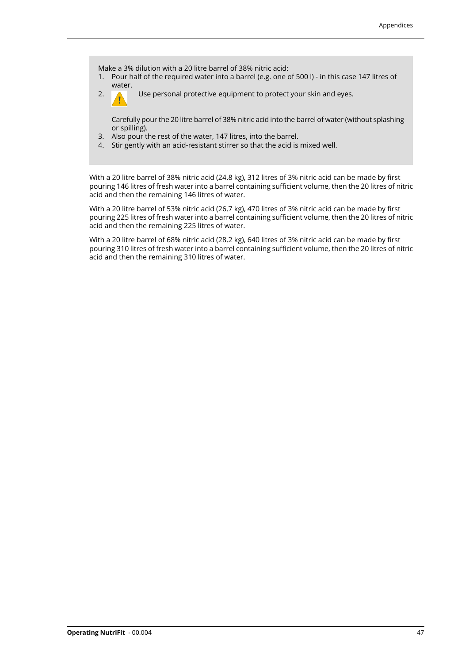Make a 3% dilution with a 20 litre barrel of 38% nitric acid:

- 1. Pour half of the required water into a barrel (e.g. one of 500 l) in this case 147 litres of water.
- 

2. Use personal protective equipment to protect your skin and eyes.

Carefully pour the 20 litre barrel of 38% nitric acid into the barrel of water (without splashing or spilling).

- 3. Also pour the rest of the water, 147 litres, into the barrel.
- 4. Stir gently with an acid-resistant stirrer so that the acid is mixed well.

With a 20 litre barrel of 38% nitric acid (24.8 kg), 312 litres of 3% nitric acid can be made by first pouring 146 litres of fresh water into a barrel containing sufficient volume, then the 20 litres of nitric acid and then the remaining 146 litres of water.

With a 20 litre barrel of 53% nitric acid (26.7 kg), 470 litres of 3% nitric acid can be made by first pouring 225 litres of fresh water into a barrel containing sufficient volume, then the 20 litres of nitric acid and then the remaining 225 litres of water.

With a 20 litre barrel of 68% nitric acid (28.2 kg), 640 litres of 3% nitric acid can be made by first pouring 310 litres of fresh water into a barrel containing sufficient volume, then the 20 litres of nitric acid and then the remaining 310 litres of water.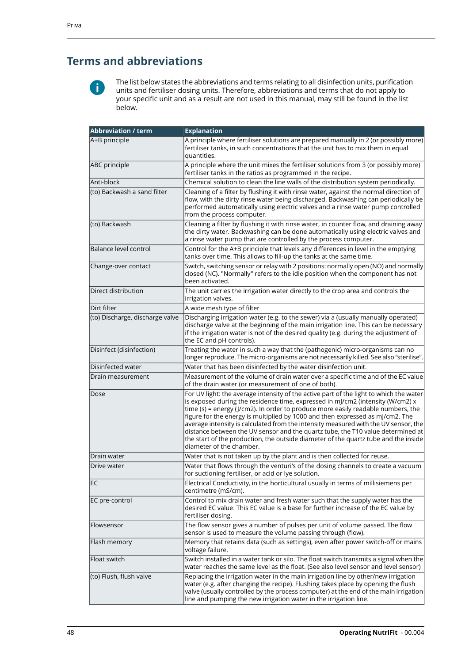## <span id="page-49-0"></span>**Terms and abbreviations**



The list below states the abbreviations and terms relating to all disinfection units, purification units and fertiliser dosing units. Therefore, abbreviations and terms that do not apply to your specific unit and as a result are not used in this manual, may still be found in the list below.

| <b>Abbreviation / term</b>      | <b>Explanation</b>                                                                                                                                                                                                                                                                                                                                                                                                                                                                                                                                                                                                                         |
|---------------------------------|--------------------------------------------------------------------------------------------------------------------------------------------------------------------------------------------------------------------------------------------------------------------------------------------------------------------------------------------------------------------------------------------------------------------------------------------------------------------------------------------------------------------------------------------------------------------------------------------------------------------------------------------|
| A+B principle                   | A principle where fertiliser solutions are prepared manually in 2 (or possibly more)<br>fertiliser tanks, in such concentrations that the unit has to mix them in equal<br>quantities.                                                                                                                                                                                                                                                                                                                                                                                                                                                     |
| ABC principle                   | A principle where the unit mixes the fertiliser solutions from 3 (or possibly more)<br>fertiliser tanks in the ratios as programmed in the recipe.                                                                                                                                                                                                                                                                                                                                                                                                                                                                                         |
| lAnti-block                     | Chemical solution to clean the line walls of the distribution system periodically.                                                                                                                                                                                                                                                                                                                                                                                                                                                                                                                                                         |
| (to) Backwash a sand filter     | Cleaning of a filter by flushing it with rinse water, against the normal direction of<br>flow, with the dirty rinse water being discharged. Backwashing can periodically be<br>performed automatically using electric valves and a rinse water pump controlled<br>from the process computer.                                                                                                                                                                                                                                                                                                                                               |
| (to) Backwash                   | Cleaning a filter by flushing it with rinse water, in counter flow, and draining away<br>the dirty water. Backwashing can be done automatically using electric valves and<br>a rinse water pump that are controlled by the process computer.                                                                                                                                                                                                                                                                                                                                                                                               |
| Balance level control           | Control for the A+B principle that levels any differences in level in the emptying<br>tanks over time. This allows to fill-up the tanks at the same time.                                                                                                                                                                                                                                                                                                                                                                                                                                                                                  |
| Change-over contact             | Switch, switching sensor or relay with 2 positions: normally open (NO) and normally<br>closed (NC). "Normally" refers to the idle position when the component has not<br>been activated.                                                                                                                                                                                                                                                                                                                                                                                                                                                   |
| Direct distribution             | The unit carries the irrigation water directly to the crop area and controls the<br>irrigation valves.                                                                                                                                                                                                                                                                                                                                                                                                                                                                                                                                     |
| Dirt filter                     | A wide mesh type of filter                                                                                                                                                                                                                                                                                                                                                                                                                                                                                                                                                                                                                 |
| (to) Discharge, discharge valve | Discharging irrigation water (e.g. to the sewer) via a (usually manually operated)<br>discharge valve at the beginning of the main irrigation line. This can be necessary<br>if the irrigation water is not of the desired quality (e.g. during the adjustment of<br>the EC and pH controls).                                                                                                                                                                                                                                                                                                                                              |
| Disinfect (disinfection)        | Treating the water in such a way that the (pathogenic) micro-organisms can no<br>longer reproduce. The micro-organisms are not necessarily killed. See also "sterilise".                                                                                                                                                                                                                                                                                                                                                                                                                                                                   |
| Disinfected water               | Water that has been disinfected by the water disinfection unit.                                                                                                                                                                                                                                                                                                                                                                                                                                                                                                                                                                            |
| Drain measurement               | Measurement of the volume of drain water over a specific time and of the EC value<br>of the drain water (or measurement of one of both).                                                                                                                                                                                                                                                                                                                                                                                                                                                                                                   |
| Dose                            | For UV light: the average intensity of the active part of the light to which the water<br>is exposed during the residence time, expressed in mJ/cm2 (intensity (W/cm2) x<br>time (s) = energy (J/cm2). In order to produce more easily readable numbers, the<br>figure for the energy is multiplied by 1000 and then expressed as mJ/cm2. The<br>average intensity is calculated from the intensity measured with the UV sensor, the<br>distance between the UV sensor and the quartz tube, the T10 value determined at<br>the start of the production, the outside diameter of the quartz tube and the inside<br>diameter of the chamber. |
| Drain water                     | Water that is not taken up by the plant and is then collected for reuse.                                                                                                                                                                                                                                                                                                                                                                                                                                                                                                                                                                   |
| Drive water                     | Water that flows through the venturi's of the dosing channels to create a vacuum<br>for suctioning fertiliser, or acid or lye solution.                                                                                                                                                                                                                                                                                                                                                                                                                                                                                                    |
| EC                              | Electrical Conductivity, in the horticultural usually in terms of millisiemens per<br>centimetre (mS/cm).                                                                                                                                                                                                                                                                                                                                                                                                                                                                                                                                  |
| EC pre-control                  | Control to mix drain water and fresh water such that the supply water has the<br>desired EC value. This EC value is a base for further increase of the EC value by<br>fertiliser dosing.                                                                                                                                                                                                                                                                                                                                                                                                                                                   |
| Flowsensor                      | The flow sensor gives a number of pulses per unit of volume passed. The flow<br>sensor is used to measure the volume passing through (flow).                                                                                                                                                                                                                                                                                                                                                                                                                                                                                               |
| Flash memory                    | Memory that retains data (such as settings), even after power switch-off or mains<br>voltage failure.                                                                                                                                                                                                                                                                                                                                                                                                                                                                                                                                      |
| Float switch                    | Switch installed in a water tank or silo. The float switch transmits a signal when the<br>water reaches the same level as the float. (See also level sensor and level sensor)                                                                                                                                                                                                                                                                                                                                                                                                                                                              |
| (to) Flush, flush valve         | Replacing the irrigation water in the main irrigation line by other/new irrigation<br>water (e.g. after changing the recipe). Flushing takes place by opening the flush<br>valve (usually controlled by the process computer) at the end of the main irrigation<br>line and pumping the new irrigation water in the irrigation line.                                                                                                                                                                                                                                                                                                       |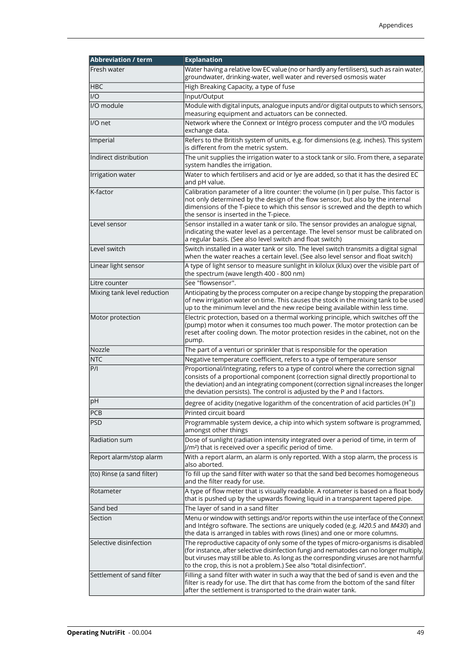| <b>Abbreviation / term</b>  | <b>Explanation</b>                                                                                                                                                                                                                                                                                                                             |
|-----------------------------|------------------------------------------------------------------------------------------------------------------------------------------------------------------------------------------------------------------------------------------------------------------------------------------------------------------------------------------------|
| Fresh water                 | Water having a relative low EC value (no or hardly any fertilisers), such as rain water,<br>groundwater, drinking-water, well water and reversed osmosis water                                                                                                                                                                                 |
| <b>HBC</b>                  | High Breaking Capacity, a type of fuse                                                                                                                                                                                                                                                                                                         |
| $U$                         | Input/Output                                                                                                                                                                                                                                                                                                                                   |
| I/O module                  | Module with digital inputs, analogue inputs and/or digital outputs to which sensors,<br>measuring equipment and actuators can be connected.                                                                                                                                                                                                    |
| I/O net                     | Network where the Connext or Intégro process computer and the I/O modules<br>exchange data.                                                                                                                                                                                                                                                    |
| Imperial                    | Refers to the British system of units, e.g. for dimensions (e.g. inches). This system<br>is different from the metric system.                                                                                                                                                                                                                  |
| Indirect distribution       | The unit supplies the irrigation water to a stock tank or silo. From there, a separate<br>system handles the irrigation.                                                                                                                                                                                                                       |
| Irrigation water            | Water to which fertilisers and acid or lye are added, so that it has the desired EC<br>and pH value.                                                                                                                                                                                                                                           |
| K-factor                    | Calibration parameter of a litre counter: the volume (in I) per pulse. This factor is<br>not only determined by the design of the flow sensor, but also by the internal<br>dimensions of the T-piece to which this sensor is screwed and the depth to which<br>the sensor is inserted in the T-piece.                                          |
| Level sensor                | Sensor installed in a water tank or silo. The sensor provides an analogue signal,<br>indicating the water level as a percentage. The level sensor must be calibrated on<br>a regular basis. (See also level switch and float switch)                                                                                                           |
| Level switch                | Switch installed in a water tank or silo. The level switch transmits a digital signal<br>when the water reaches a certain level. (See also level sensor and float switch)                                                                                                                                                                      |
| Linear light sensor         | A type of light sensor to measure sunlight in kilolux (klux) over the visible part of<br>the spectrum (wave length 400 - 800 nm)                                                                                                                                                                                                               |
| Litre counter               | See "flowsensor".                                                                                                                                                                                                                                                                                                                              |
| Mixing tank level reduction | Anticipating by the process computer on a recipe change by stopping the preparation<br>of new irrigation water on time. This causes the stock in the mixing tank to be used<br>up to the minimum level and the new recipe being available within less time.                                                                                    |
| Motor protection            | Electric protection, based on a thermal working principle, which switches off the<br>(pump) motor when it consumes too much power. The motor protection can be<br>reset after cooling down. The motor protection resides in the cabinet, not on the<br>pump.                                                                                   |
| Nozzle                      | The part of a venturi or sprinkler that is responsible for the operation                                                                                                                                                                                                                                                                       |
| <b>NTC</b>                  | Negative temperature coefficient, refers to a type of temperature sensor                                                                                                                                                                                                                                                                       |
| P/I                         | Proportional/Integrating, refers to a type of control where the correction signal<br>consists of a proportional component (correction signal directly proportional to<br>the deviation) and an integrating component (correction signal increases the longer<br>the deviation persists). The control is adjusted by the P and I factors.       |
| pH                          | degree of acidity (negative logarithm of the concentration of acid particles $(H^{\dagger})$ )                                                                                                                                                                                                                                                 |
| PCB                         | Printed circuit board                                                                                                                                                                                                                                                                                                                          |
| <b>PSD</b>                  | Programmable system device, a chip into which system software is programmed,<br>amongst other things                                                                                                                                                                                                                                           |
| Radiation sum               | Dose of sunlight (radiation intensity integrated over a period of time, in term of<br>J/m <sup>2</sup> ) that is received over a specific period of time.                                                                                                                                                                                      |
| Report alarm/stop alarm     | With a report alarm, an alarm is only reported. With a stop alarm, the process is<br>also aborted.                                                                                                                                                                                                                                             |
| (to) Rinse (a sand filter)  | To fill up the sand filter with water so that the sand bed becomes homogeneous<br>and the filter ready for use.                                                                                                                                                                                                                                |
| Rotameter                   | A type of flow meter that is visually readable. A rotameter is based on a float body<br>that is pushed up by the upwards flowing liquid in a transparent tapered pipe.                                                                                                                                                                         |
| Sand bed                    | The layer of sand in a sand filter                                                                                                                                                                                                                                                                                                             |
| Section                     | Menu or window with settings and/or reports within the use interface of the Connext<br>and Intégro software. The sections are uniquely coded (e.g. I420.5 and M430) and<br>the data is arranged in tables with rows (lines) and one or more columns.                                                                                           |
| Selective disinfection      | The reproductive capacity of only some of the types of micro-organisms is disabled<br>(for instance, after selective disinfection fungi and nematodes can no longer multiply,<br>but viruses may still be able to. As long as the corresponding viruses are not harmful<br>to the crop, this is not a problem.) See also "total disinfection". |
| Settlement of sand filter   | Filling a sand filter with water in such a way that the bed of sand is even and the<br>filter is ready for use. The dirt that has come from the bottom of the sand filter<br>after the settlement is transported to the drain water tank.                                                                                                      |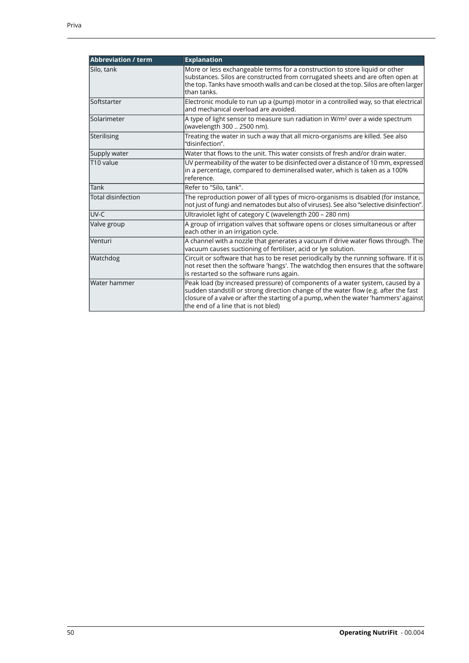| <b>Abbreviation / term</b> | <b>Explanation</b>                                                                                                                                                                                                                                                                                   |  |
|----------------------------|------------------------------------------------------------------------------------------------------------------------------------------------------------------------------------------------------------------------------------------------------------------------------------------------------|--|
| Silo, tank                 | More or less exchangeable terms for a construction to store liquid or other<br>substances. Silos are constructed from corrugated sheets and are often open at<br>the top. Tanks have smooth walls and can be closed at the top. Silos are often larger<br>than tanks.                                |  |
| Softstarter                | Electronic module to run up a (pump) motor in a controlled way, so that electrical<br>and mechanical overload are avoided.                                                                                                                                                                           |  |
| Solarimeter                | A type of light sensor to measure sun radiation in W/m <sup>2</sup> over a wide spectrum<br>(wavelength 300  2500 nm).                                                                                                                                                                               |  |
| Sterilising                | Treating the water in such a way that all micro-organisms are killed. See also<br>"disinfection".                                                                                                                                                                                                    |  |
| Supply water               | Water that flows to the unit. This water consists of fresh and/or drain water.                                                                                                                                                                                                                       |  |
| T10 value                  | UV permeability of the water to be disinfected over a distance of 10 mm, expressed<br>in a percentage, compared to demineralised water, which is taken as a 100%<br>reference.                                                                                                                       |  |
| Tank                       | Refer to "Silo, tank".                                                                                                                                                                                                                                                                               |  |
| <b>Total disinfection</b>  | The reproduction power of all types of micro-organisms is disabled (for instance,<br>not just of fungi and nematodes but also of viruses). See also "selective disinfection".                                                                                                                        |  |
| UV-C                       | Ultraviolet light of category C (wavelength 200 - 280 nm)                                                                                                                                                                                                                                            |  |
| Valve group                | A group of irrigation valves that software opens or closes simultaneous or after<br>each other in an irrigation cycle.                                                                                                                                                                               |  |
| Venturi                    | A channel with a nozzle that generates a vacuum if drive water flows through. The<br>vacuum causes suctioning of fertiliser, acid or lye solution.                                                                                                                                                   |  |
| Watchdog                   | Circuit or software that has to be reset periodically by the running software. If it is<br>not reset then the software 'hangs'. The watchdog then ensures that the software<br>is restarted so the software runs again.                                                                              |  |
| Water hammer               | Peak load (by increased pressure) of components of a water system, caused by a<br>sudden standstill or strong direction change of the water flow (e.g. after the fast<br>closure of a valve or after the starting of a pump, when the water 'hammers' against<br>the end of a line that is not bled) |  |